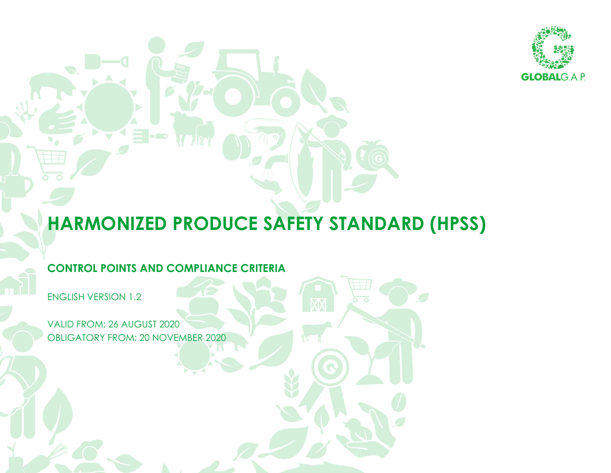

## **HARMONIZED PRODUCE SAFETY STANDARD (HPSS)**

## **CONTROL POINTS AND COMPLIANCE CRITERIA**

ENGLISH VERSION 1.2

VALID FROM: 26 AUGUST 2020 OBLIGATORY FROM: 20 NOVEMBER 2020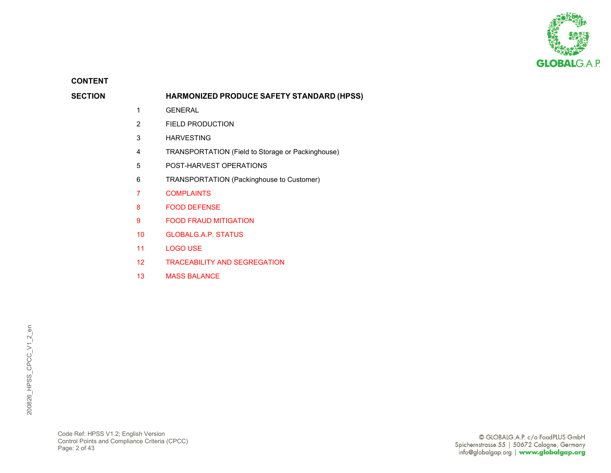

**CONTENT**

## **SECTION HARMONIZED PRODUCE SAFETY STANDARD (HPSS)**

- 1 GENERAL
- 2 FIELD PRODUCTION
- 3 HARVESTING
- 4 TRANSPORTATION (Field to Storage or Packinghouse)
- 5 POST-HARVEST OPERATIONS
- 6 TRANSPORTATION (Packinghouse to Customer)
- 7 COMPLAINTS
- 8 FOOD DEFENSE
- 9 FOOD FRAUD MITIGATION
- 10 GLOBALG.A.P. STATUS
- 11 LOGO USE
- 12 TRACEABILITY AND SEGREGATION
- 13 MASS BALANCE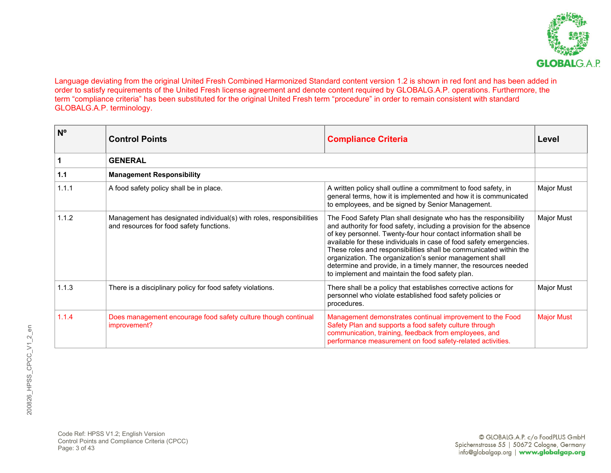

Language deviating from the original United Fresh Combined Harmonized Standard content version 1.2 is shown in red font and has been added in order to satisfy requirements of the United Fresh license agreement and denote content required by GLOBALG.A.P. operations. Furthermore, the term "compliance criteria" has been substituted for the original United Fresh term "procedure" in order to remain consistent with standard GLOBALG.A.P. terminology.

| $N^{\circ}$ | <b>Control Points</b>                                                                                            | <b>Compliance Criteria</b>                                                                                                                                                                                                                                                                                                                                                                                                                                                                                                               | Level             |
|-------------|------------------------------------------------------------------------------------------------------------------|------------------------------------------------------------------------------------------------------------------------------------------------------------------------------------------------------------------------------------------------------------------------------------------------------------------------------------------------------------------------------------------------------------------------------------------------------------------------------------------------------------------------------------------|-------------------|
|             | <b>GENERAL</b>                                                                                                   |                                                                                                                                                                                                                                                                                                                                                                                                                                                                                                                                          |                   |
| $1.1$       | <b>Management Responsibility</b>                                                                                 |                                                                                                                                                                                                                                                                                                                                                                                                                                                                                                                                          |                   |
| 1.1.1       | A food safety policy shall be in place.                                                                          | A written policy shall outline a commitment to food safety, in<br>general terms, how it is implemented and how it is communicated<br>to employees, and be signed by Senior Management.                                                                                                                                                                                                                                                                                                                                                   | <b>Major Must</b> |
| 1.1.2       | Management has designated individual(s) with roles, responsibilities<br>and resources for food safety functions. | The Food Safety Plan shall designate who has the responsibility<br>and authority for food safety, including a provision for the absence<br>of key personnel. Twenty-four hour contact information shall be<br>available for these individuals in case of food safety emergencies.<br>These roles and responsibilities shall be communicated within the<br>organization. The organization's senior management shall<br>determine and provide, in a timely manner, the resources needed<br>to implement and maintain the food safety plan. | <b>Major Must</b> |
| 1.1.3       | There is a disciplinary policy for food safety violations.                                                       | There shall be a policy that establishes corrective actions for<br>personnel who violate established food safety policies or<br>procedures.                                                                                                                                                                                                                                                                                                                                                                                              | Major Must        |
| 1.1.4       | Does management encourage food safety culture though continual<br>improvement?                                   | Management demonstrates continual improvement to the Food<br>Safety Plan and supports a food safety culture through<br>communication, training, feedback from employees, and<br>performance measurement on food safety-related activities.                                                                                                                                                                                                                                                                                               | <b>Major Must</b> |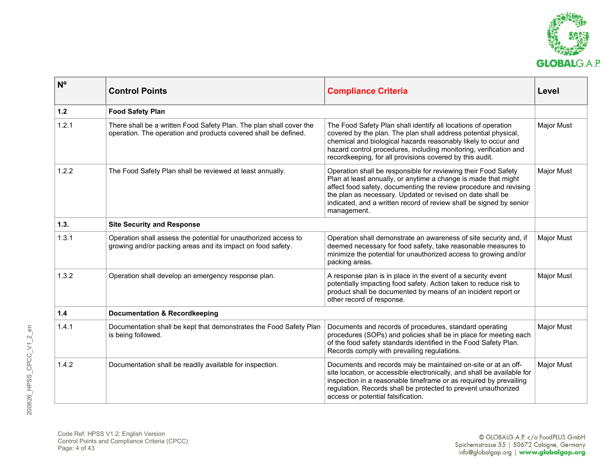

| N <sup>o</sup> | <b>Control Points</b>                                                                                                                  | <b>Compliance Criteria</b>                                                                                                                                                                                                                                                                                                                                | Level             |
|----------------|----------------------------------------------------------------------------------------------------------------------------------------|-----------------------------------------------------------------------------------------------------------------------------------------------------------------------------------------------------------------------------------------------------------------------------------------------------------------------------------------------------------|-------------------|
| 1.2            | <b>Food Safety Plan</b>                                                                                                                |                                                                                                                                                                                                                                                                                                                                                           |                   |
| 1.2.1          | There shall be a written Food Safety Plan. The plan shall cover the<br>operation. The operation and products covered shall be defined. | The Food Safety Plan shall identify all locations of operation<br>covered by the plan. The plan shall address potential physical,<br>chemical and biological hazards reasonably likely to occur and<br>hazard control procedures, including monitoring, verification and<br>recordkeeping, for all provisions covered by this audit.                      | <b>Major Must</b> |
| 1.2.2          | The Food Safety Plan shall be reviewed at least annually.                                                                              | Operation shall be responsible for reviewing their Food Safety<br>Plan at least annually, or anytime a change is made that might<br>affect food safety, documenting the review procedure and revising<br>the plan as necessary. Updated or revised on date shall be<br>indicated, and a written record of review shall be signed by senior<br>management. | <b>Major Must</b> |
| 1.3.           | <b>Site Security and Response</b>                                                                                                      |                                                                                                                                                                                                                                                                                                                                                           |                   |
| 1.3.1          | Operation shall assess the potential for unauthorized access to<br>growing and/or packing areas and its impact on food safety.         | Operation shall demonstrate an awareness of site security and, if<br>deemed necessary for food safety, take reasonable measures to<br>minimize the potential for unauthorized access to growing and/or<br>packing areas.                                                                                                                                  | Major Must        |
| 1.3.2          | Operation shall develop an emergency response plan.                                                                                    | A response plan is in place in the event of a security event<br>potentially impacting food safety. Action taken to reduce risk to<br>product shall be documented by means of an incident report or<br>other record of response.                                                                                                                           | <b>Major Must</b> |
| 1.4            | <b>Documentation &amp; Recordkeeping</b>                                                                                               |                                                                                                                                                                                                                                                                                                                                                           |                   |
| 1.4.1          | Documentation shall be kept that demonstrates the Food Safety Plan<br>is being followed.                                               | Documents and records of procedures, standard operating<br>procedures (SOPs) and policies shall be in place for meeting each<br>of the food safety standards identified in the Food Safety Plan.<br>Records comply with prevailing regulations.                                                                                                           | Major Must        |
| 1.4.2          | Documentation shall be readily available for inspection.                                                                               | Documents and records may be maintained on-site or at an off-<br>site location, or accessible electronically, and shall be available for<br>inspection in a reasonable timeframe or as required by prevailing<br>regulation. Records shall be protected to prevent unauthorized<br>access or potential falsification.                                     | <b>Major Must</b> |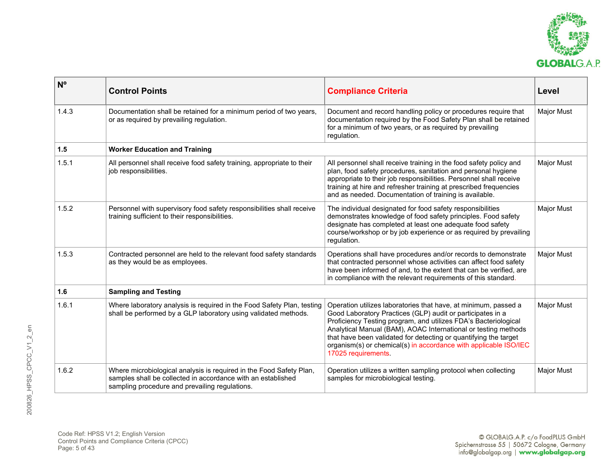

| N <sup>o</sup> | <b>Control Points</b>                                                                                                                                                                 | <b>Compliance Criteria</b>                                                                                                                                                                                                                                                                                                                                                                                                        | Level             |
|----------------|---------------------------------------------------------------------------------------------------------------------------------------------------------------------------------------|-----------------------------------------------------------------------------------------------------------------------------------------------------------------------------------------------------------------------------------------------------------------------------------------------------------------------------------------------------------------------------------------------------------------------------------|-------------------|
| 1.4.3          | Documentation shall be retained for a minimum period of two years,<br>or as required by prevailing regulation.                                                                        | Document and record handling policy or procedures require that<br>documentation required by the Food Safety Plan shall be retained<br>for a minimum of two years, or as required by prevailing<br>regulation.                                                                                                                                                                                                                     | Major Must        |
| 1.5            | <b>Worker Education and Training</b>                                                                                                                                                  |                                                                                                                                                                                                                                                                                                                                                                                                                                   |                   |
| 1.5.1          | All personnel shall receive food safety training, appropriate to their<br>job responsibilities.                                                                                       | All personnel shall receive training in the food safety policy and<br>plan, food safety procedures, sanitation and personal hygiene<br>appropriate to their job responsibilities. Personnel shall receive<br>training at hire and refresher training at prescribed frequencies<br>and as needed. Documentation of training is available.                                                                                          | <b>Major Must</b> |
| 1.5.2          | Personnel with supervisory food safety responsibilities shall receive<br>training sufficient to their responsibilities.                                                               | The individual designated for food safety responsibilities<br>demonstrates knowledge of food safety principles. Food safety<br>designate has completed at least one adequate food safety<br>course/workshop or by job experience or as required by prevailing<br>regulation.                                                                                                                                                      | <b>Major Must</b> |
| 1.5.3          | Contracted personnel are held to the relevant food safety standards<br>as they would be as employees.                                                                                 | Operations shall have procedures and/or records to demonstrate<br>that contracted personnel whose activities can affect food safety<br>have been informed of and, to the extent that can be verified, are<br>in compliance with the relevant requirements of this standard.                                                                                                                                                       | Major Must        |
| 1.6            | <b>Sampling and Testing</b>                                                                                                                                                           |                                                                                                                                                                                                                                                                                                                                                                                                                                   |                   |
| 1.6.1          | Where laboratory analysis is required in the Food Safety Plan, testing<br>shall be performed by a GLP laboratory using validated methods.                                             | Operation utilizes laboratories that have, at minimum, passed a<br>Good Laboratory Practices (GLP) audit or participates in a<br>Proficiency Testing program, and utilizes FDA's Bacteriological<br>Analytical Manual (BAM), AOAC International or testing methods<br>that have been validated for detecting or quantifying the target<br>organism(s) or chemical(s) in accordance with applicable ISO/IEC<br>17025 requirements. | Major Must        |
| 1.6.2          | Where microbiological analysis is required in the Food Safety Plan,<br>samples shall be collected in accordance with an established<br>sampling procedure and prevailing regulations. | Operation utilizes a written sampling protocol when collecting<br>samples for microbiological testing.                                                                                                                                                                                                                                                                                                                            | <b>Major Must</b> |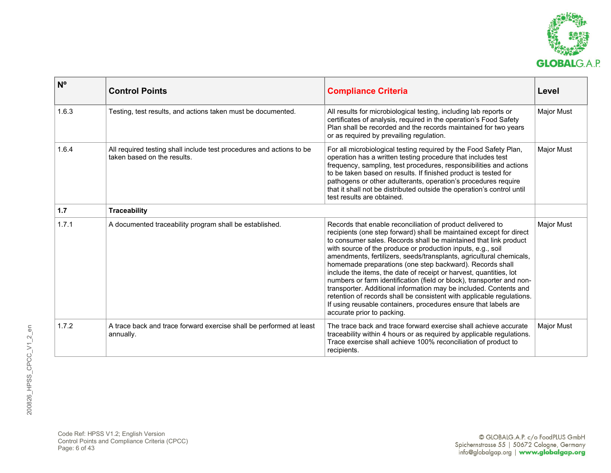

| N <sup>o</sup> | <b>Control Points</b>                                                                               | <b>Compliance Criteria</b>                                                                                                                                                                                                                                                                                                                                                                                                                                                                                                                                                                                                                                                                                                                                                                            | Level             |
|----------------|-----------------------------------------------------------------------------------------------------|-------------------------------------------------------------------------------------------------------------------------------------------------------------------------------------------------------------------------------------------------------------------------------------------------------------------------------------------------------------------------------------------------------------------------------------------------------------------------------------------------------------------------------------------------------------------------------------------------------------------------------------------------------------------------------------------------------------------------------------------------------------------------------------------------------|-------------------|
| 1.6.3          | Testing, test results, and actions taken must be documented.                                        | All results for microbiological testing, including lab reports or<br>certificates of analysis, required in the operation's Food Safety<br>Plan shall be recorded and the records maintained for two years<br>or as required by prevailing regulation.                                                                                                                                                                                                                                                                                                                                                                                                                                                                                                                                                 | <b>Major Must</b> |
| 1.6.4          | All required testing shall include test procedures and actions to be<br>taken based on the results. | For all microbiological testing required by the Food Safety Plan,<br>operation has a written testing procedure that includes test<br>frequency, sampling, test procedures, responsibilities and actions<br>to be taken based on results. If finished product is tested for<br>pathogens or other adulterants, operation's procedures require<br>that it shall not be distributed outside the operation's control until<br>test results are obtained.                                                                                                                                                                                                                                                                                                                                                  | <b>Major Must</b> |
| 1.7            | <b>Traceability</b>                                                                                 |                                                                                                                                                                                                                                                                                                                                                                                                                                                                                                                                                                                                                                                                                                                                                                                                       |                   |
| 1.7.1          | A documented traceability program shall be established.                                             | Records that enable reconciliation of product delivered to<br>recipients (one step forward) shall be maintained except for direct<br>to consumer sales. Records shall be maintained that link product<br>with source of the produce or production inputs, e.g., soil<br>amendments, fertilizers, seeds/transplants, agricultural chemicals,<br>homemade preparations (one step backward). Records shall<br>include the items, the date of receipt or harvest, quantities, lot<br>numbers or farm identification (field or block), transporter and non-<br>transporter. Additional information may be included. Contents and<br>retention of records shall be consistent with applicable regulations.<br>If using reusable containers, procedures ensure that labels are<br>accurate prior to packing. | <b>Major Must</b> |
| 1.7.2          | A trace back and trace forward exercise shall be performed at least<br>annually.                    | The trace back and trace forward exercise shall achieve accurate<br>traceability within 4 hours or as required by applicable regulations.<br>Trace exercise shall achieve 100% reconciliation of product to<br>recipients.                                                                                                                                                                                                                                                                                                                                                                                                                                                                                                                                                                            | <b>Major Must</b> |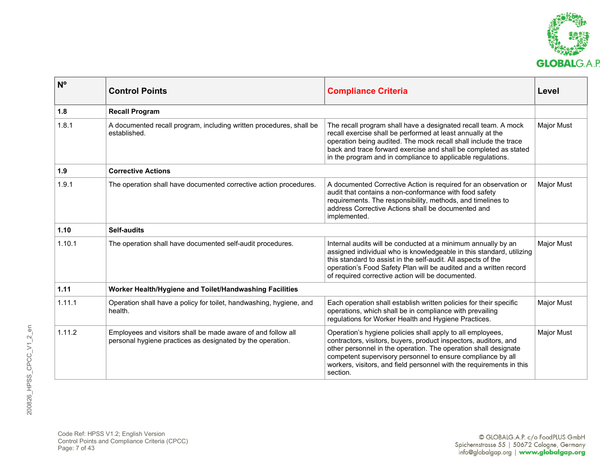

| N <sup>o</sup> | <b>Control Points</b>                                                                                                      | <b>Compliance Criteria</b>                                                                                                                                                                                                                                                                                                                           | Level             |
|----------------|----------------------------------------------------------------------------------------------------------------------------|------------------------------------------------------------------------------------------------------------------------------------------------------------------------------------------------------------------------------------------------------------------------------------------------------------------------------------------------------|-------------------|
| 1.8            | <b>Recall Program</b>                                                                                                      |                                                                                                                                                                                                                                                                                                                                                      |                   |
| 1.8.1          | A documented recall program, including written procedures, shall be<br>established.                                        | The recall program shall have a designated recall team. A mock<br>recall exercise shall be performed at least annually at the<br>operation being audited. The mock recall shall include the trace<br>back and trace forward exercise and shall be completed as stated<br>in the program and in compliance to applicable regulations.                 | <b>Major Must</b> |
| 1.9            | <b>Corrective Actions</b>                                                                                                  |                                                                                                                                                                                                                                                                                                                                                      |                   |
| 1.9.1          | The operation shall have documented corrective action procedures.                                                          | A documented Corrective Action is required for an observation or<br>audit that contains a non-conformance with food safety<br>requirements. The responsibility, methods, and timelines to<br>address Corrective Actions shall be documented and<br>implemented.                                                                                      | Major Must        |
| 1.10           | <b>Self-audits</b>                                                                                                         |                                                                                                                                                                                                                                                                                                                                                      |                   |
| 1.10.1         | The operation shall have documented self-audit procedures.                                                                 | Internal audits will be conducted at a minimum annually by an<br>assigned individual who is knowledgeable in this standard, utilizing<br>this standard to assist in the self-audit. All aspects of the<br>operation's Food Safety Plan will be audited and a written record<br>of required corrective action will be documented.                     | <b>Major Must</b> |
| 1.11           | Worker Health/Hygiene and Toilet/Handwashing Facilities                                                                    |                                                                                                                                                                                                                                                                                                                                                      |                   |
| 1.11.1         | Operation shall have a policy for toilet, handwashing, hygiene, and<br>health.                                             | Each operation shall establish written policies for their specific<br>operations, which shall be in compliance with prevailing<br>regulations for Worker Health and Hygiene Practices.                                                                                                                                                               | <b>Major Must</b> |
| 1.11.2         | Employees and visitors shall be made aware of and follow all<br>personal hygiene practices as designated by the operation. | Operation's hygiene policies shall apply to all employees,<br>contractors, visitors, buyers, product inspectors, auditors, and<br>other personnel in the operation. The operation shall designate<br>competent supervisory personnel to ensure compliance by all<br>workers, visitors, and field personnel with the requirements in this<br>section. | <b>Major Must</b> |

Code Ref: HPSS V1.2; English Version Control Points and Compliance Criteria (CPCC) Page: 7 of 43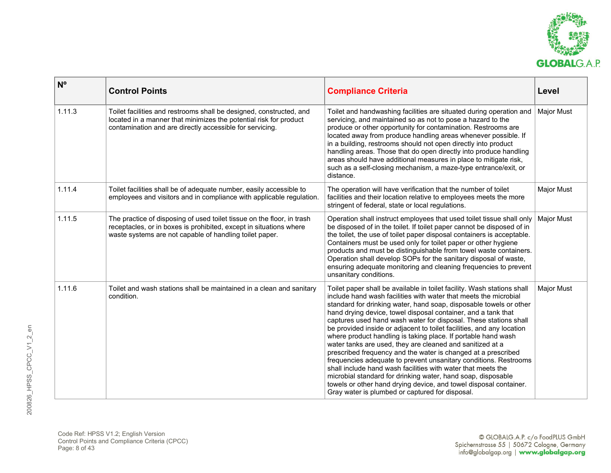

| N <sup>o</sup> | <b>Control Points</b>                                                                                                                                                                                   | <b>Compliance Criteria</b>                                                                                                                                                                                                                                                                                                                                                                                                                                                                                                                                                                                                                                                                                                                                                                                                                                                                                                                                 | Level             |
|----------------|---------------------------------------------------------------------------------------------------------------------------------------------------------------------------------------------------------|------------------------------------------------------------------------------------------------------------------------------------------------------------------------------------------------------------------------------------------------------------------------------------------------------------------------------------------------------------------------------------------------------------------------------------------------------------------------------------------------------------------------------------------------------------------------------------------------------------------------------------------------------------------------------------------------------------------------------------------------------------------------------------------------------------------------------------------------------------------------------------------------------------------------------------------------------------|-------------------|
| 1.11.3         | Toilet facilities and restrooms shall be designed, constructed, and<br>located in a manner that minimizes the potential risk for product<br>contamination and are directly accessible for servicing.    | Toilet and handwashing facilities are situated during operation and<br>servicing, and maintained so as not to pose a hazard to the<br>produce or other opportunity for contamination. Restrooms are<br>located away from produce handling areas whenever possible. If<br>in a building, restrooms should not open directly into product<br>handling areas. Those that do open directly into produce handling<br>areas should have additional measures in place to mitigate risk,<br>such as a self-closing mechanism, a maze-type entrance/exit, or<br>distance.                                                                                                                                                                                                                                                                                                                                                                                           | <b>Major Must</b> |
| 1.11.4         | Toilet facilities shall be of adequate number, easily accessible to<br>employees and visitors and in compliance with applicable regulation.                                                             | The operation will have verification that the number of toilet<br>facilities and their location relative to employees meets the more<br>stringent of federal, state or local regulations.                                                                                                                                                                                                                                                                                                                                                                                                                                                                                                                                                                                                                                                                                                                                                                  | <b>Major Must</b> |
| 1.11.5         | The practice of disposing of used toilet tissue on the floor, in trash<br>receptacles, or in boxes is prohibited, except in situations where<br>waste systems are not capable of handling toilet paper. | Operation shall instruct employees that used toilet tissue shall only<br>be disposed of in the toilet. If toilet paper cannot be disposed of in<br>the toilet, the use of toilet paper disposal containers is acceptable.<br>Containers must be used only for toilet paper or other hygiene<br>products and must be distinguishable from towel waste containers.<br>Operation shall develop SOPs for the sanitary disposal of waste,<br>ensuring adequate monitoring and cleaning frequencies to prevent<br>unsanitary conditions.                                                                                                                                                                                                                                                                                                                                                                                                                         | <b>Major Must</b> |
| 1.11.6         | Toilet and wash stations shall be maintained in a clean and sanitary<br>condition.                                                                                                                      | Toilet paper shall be available in toilet facility. Wash stations shall<br>include hand wash facilities with water that meets the microbial<br>standard for drinking water, hand soap, disposable towels or other<br>hand drying device, towel disposal container, and a tank that<br>captures used hand wash water for disposal. These stations shall<br>be provided inside or adjacent to toilet facilities, and any location<br>where product handling is taking place. If portable hand wash<br>water tanks are used, they are cleaned and sanitized at a<br>prescribed frequency and the water is changed at a prescribed<br>frequencies adequate to prevent unsanitary conditions. Restrooms<br>shall include hand wash facilities with water that meets the<br>microbial standard for drinking water, hand soap, disposable<br>towels or other hand drying device, and towel disposal container.<br>Gray water is plumbed or captured for disposal. | Major Must        |

Code Ref: HPSS V1.2; English Version Control Points and Compliance Criteria (CPCC) Page: 8 of 43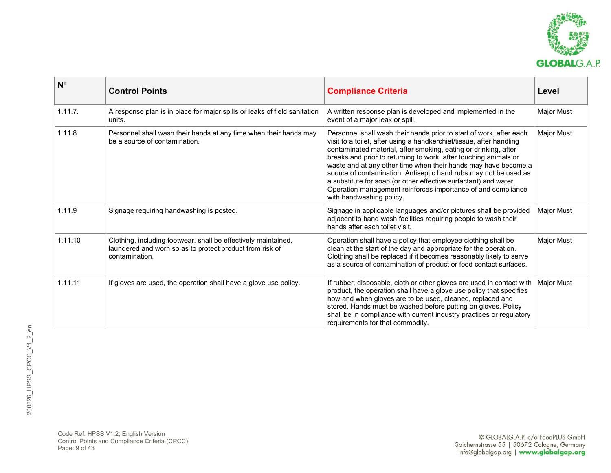

| N <sup>o</sup> | <b>Control Points</b>                                                                                                                        | <b>Compliance Criteria</b>                                                                                                                                                                                                                                                                                                                                                                                                                                                                                                                                                               | Level             |
|----------------|----------------------------------------------------------------------------------------------------------------------------------------------|------------------------------------------------------------------------------------------------------------------------------------------------------------------------------------------------------------------------------------------------------------------------------------------------------------------------------------------------------------------------------------------------------------------------------------------------------------------------------------------------------------------------------------------------------------------------------------------|-------------------|
| 1.11.7.        | A response plan is in place for major spills or leaks of field sanitation<br>units.                                                          | A written response plan is developed and implemented in the<br>event of a major leak or spill.                                                                                                                                                                                                                                                                                                                                                                                                                                                                                           | Major Must        |
| 1.11.8         | Personnel shall wash their hands at any time when their hands may<br>be a source of contamination.                                           | Personnel shall wash their hands prior to start of work, after each<br>visit to a toilet, after using a handkerchief/tissue, after handling<br>contaminated material, after smoking, eating or drinking, after<br>breaks and prior to returning to work, after touching animals or<br>waste and at any other time when their hands may have become a<br>source of contamination. Antiseptic hand rubs may not be used as<br>a substitute for soap (or other effective surfactant) and water.<br>Operation management reinforces importance of and compliance<br>with handwashing policy. | Major Must        |
| 1.11.9         | Signage requiring handwashing is posted.                                                                                                     | Signage in applicable languages and/or pictures shall be provided<br>adjacent to hand wash facilities requiring people to wash their<br>hands after each toilet visit.                                                                                                                                                                                                                                                                                                                                                                                                                   | Major Must        |
| 1.11.10        | Clothing, including footwear, shall be effectively maintained,<br>laundered and worn so as to protect product from risk of<br>contamination. | Operation shall have a policy that employee clothing shall be<br>clean at the start of the day and appropriate for the operation.<br>Clothing shall be replaced if it becomes reasonably likely to serve<br>as a source of contamination of product or food contact surfaces.                                                                                                                                                                                                                                                                                                            | <b>Major Must</b> |
| 1.11.11        | If gloves are used, the operation shall have a glove use policy.                                                                             | If rubber, disposable, cloth or other gloves are used in contact with<br>product, the operation shall have a glove use policy that specifies<br>how and when gloves are to be used, cleaned, replaced and<br>stored. Hands must be washed before putting on gloves. Policy<br>shall be in compliance with current industry practices or regulatory<br>requirements for that commodity.                                                                                                                                                                                                   | Major Must        |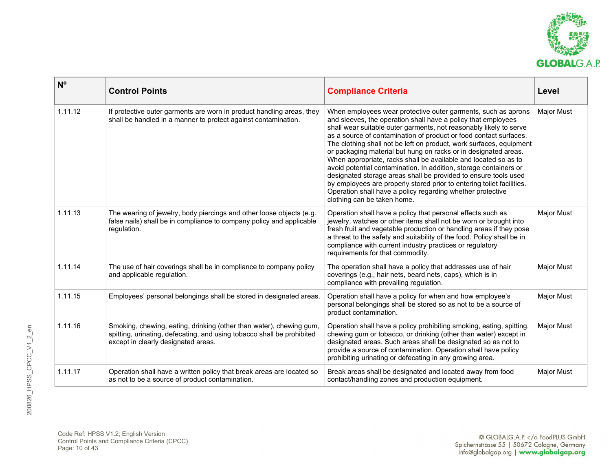

| $N^{\circ}$ | <b>Control Points</b>                                                                                                                                                                | <b>Compliance Criteria</b>                                                                                                                                                                                                                                                                                                                                                                                                                                                                                                                                                                                                                                                                                                                                                                           | Level             |
|-------------|--------------------------------------------------------------------------------------------------------------------------------------------------------------------------------------|------------------------------------------------------------------------------------------------------------------------------------------------------------------------------------------------------------------------------------------------------------------------------------------------------------------------------------------------------------------------------------------------------------------------------------------------------------------------------------------------------------------------------------------------------------------------------------------------------------------------------------------------------------------------------------------------------------------------------------------------------------------------------------------------------|-------------------|
| 1.11.12     | If protective outer garments are worn in product handling areas, they<br>shall be handled in a manner to protect against contamination.                                              | When employees wear protective outer garments, such as aprons<br>and sleeves, the operation shall have a policy that employees<br>shall wear suitable outer garments, not reasonably likely to serve<br>as a source of contamination of product or food contact surfaces.<br>The clothing shall not be left on product, work surfaces, equipment<br>or packaging material but hung on racks or in designated areas.<br>When appropriate, racks shall be available and located so as to<br>avoid potential contamination. In addition, storage containers or<br>designated storage areas shall be provided to ensure tools used<br>by employees are properly stored prior to entering toilet facilities.<br>Operation shall have a policy regarding whether protective<br>clothing can be taken home. | Major Must        |
| 1.11.13     | The wearing of jewelry, body piercings and other loose objects (e.g.<br>false nails) shall be in compliance to company policy and applicable<br>regulation.                          | Operation shall have a policy that personal effects such as<br>jewelry, watches or other items shall not be worn or brought into<br>fresh fruit and vegetable production or handling areas if they pose<br>a threat to the safety and suitability of the food. Policy shall be in<br>compliance with current industry practices or regulatory<br>requirements for that commodity.                                                                                                                                                                                                                                                                                                                                                                                                                    | <b>Major Must</b> |
| 1.11.14     | The use of hair coverings shall be in compliance to company policy<br>and applicable regulation.                                                                                     | The operation shall have a policy that addresses use of hair<br>coverings (e.g., hair nets, beard nets, caps), which is in<br>compliance with prevailing regulation.                                                                                                                                                                                                                                                                                                                                                                                                                                                                                                                                                                                                                                 | Major Must        |
| 1.11.15     | Employees' personal belongings shall be stored in designated areas.                                                                                                                  | Operation shall have a policy for when and how employee's<br>personal belongings shall be stored so as not to be a source of<br>product contamination.                                                                                                                                                                                                                                                                                                                                                                                                                                                                                                                                                                                                                                               | Major Must        |
| 1.11.16     | Smoking, chewing, eating, drinking (other than water), chewing gum,<br>spitting, urinating, defecating, and using tobacco shall be prohibited<br>except in clearly designated areas. | Operation shall have a policy prohibiting smoking, eating, spitting,<br>chewing gum or tobacco, or drinking (other than water) except in<br>designated areas. Such areas shall be designated so as not to<br>provide a source of contamination. Operation shall have policy<br>prohibiting urinating or defecating in any growing area.                                                                                                                                                                                                                                                                                                                                                                                                                                                              | Major Must        |
| 1.11.17     | Operation shall have a written policy that break areas are located so<br>as not to be a source of product contamination.                                                             | Break areas shall be designated and located away from food<br>contact/handling zones and production equipment.                                                                                                                                                                                                                                                                                                                                                                                                                                                                                                                                                                                                                                                                                       | <b>Major Must</b> |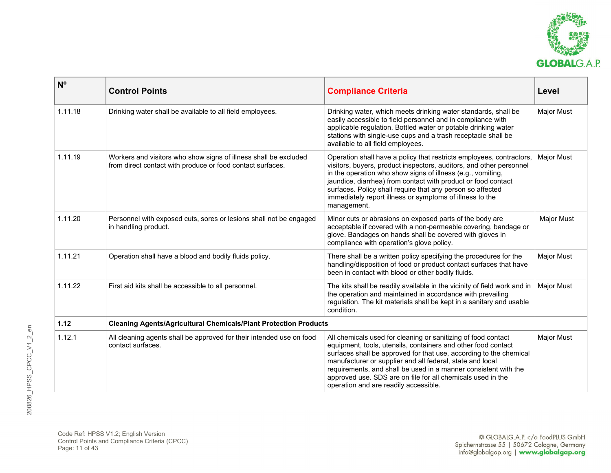

| $N^{\circ}$ | <b>Control Points</b>                                                                                                          | <b>Compliance Criteria</b>                                                                                                                                                                                                                                                                                                                                                                                                                   | Level             |
|-------------|--------------------------------------------------------------------------------------------------------------------------------|----------------------------------------------------------------------------------------------------------------------------------------------------------------------------------------------------------------------------------------------------------------------------------------------------------------------------------------------------------------------------------------------------------------------------------------------|-------------------|
| 1.11.18     | Drinking water shall be available to all field employees.                                                                      | Drinking water, which meets drinking water standards, shall be<br>easily accessible to field personnel and in compliance with<br>applicable regulation. Bottled water or potable drinking water<br>stations with single-use cups and a trash receptacle shall be<br>available to all field employees.                                                                                                                                        | Major Must        |
| 1.11.19     | Workers and visitors who show signs of illness shall be excluded<br>from direct contact with produce or food contact surfaces. | Operation shall have a policy that restricts employees, contractors,<br>visitors, buyers, product inspectors, auditors, and other personnel<br>in the operation who show signs of illness (e.g., vomiting,<br>jaundice, diarrhea) from contact with product or food contact<br>surfaces. Policy shall require that any person so affected<br>immediately report illness or symptoms of illness to the<br>management.                         | Major Must        |
| 1.11.20     | Personnel with exposed cuts, sores or lesions shall not be engaged<br>in handling product.                                     | Minor cuts or abrasions on exposed parts of the body are<br>acceptable if covered with a non-permeable covering, bandage or<br>glove. Bandages on hands shall be covered with gloves in<br>compliance with operation's glove policy.                                                                                                                                                                                                         | Major Must        |
| 1.11.21     | Operation shall have a blood and bodily fluids policy.                                                                         | There shall be a written policy specifying the procedures for the<br>handling/disposition of food or product contact surfaces that have<br>been in contact with blood or other bodily fluids.                                                                                                                                                                                                                                                | Major Must        |
| 1.11.22     | First aid kits shall be accessible to all personnel.                                                                           | The kits shall be readily available in the vicinity of field work and in<br>the operation and maintained in accordance with prevailing<br>regulation. The kit materials shall be kept in a sanitary and usable<br>condition.                                                                                                                                                                                                                 | <b>Major Must</b> |
| 1.12        | <b>Cleaning Agents/Agricultural Chemicals/Plant Protection Products</b>                                                        |                                                                                                                                                                                                                                                                                                                                                                                                                                              |                   |
| 1.12.1      | All cleaning agents shall be approved for their intended use on food<br>contact surfaces.                                      | All chemicals used for cleaning or sanitizing of food contact<br>equipment, tools, utensils, containers and other food contact<br>surfaces shall be approved for that use, according to the chemical<br>manufacturer or supplier and all federal, state and local<br>requirements, and shall be used in a manner consistent with the<br>approved use. SDS are on file for all chemicals used in the<br>operation and are readily accessible. | <b>Major Must</b> |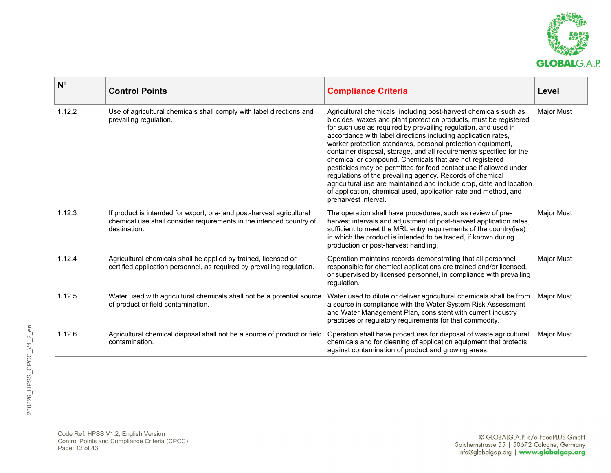

| N <sup>o</sup> | <b>Control Points</b>                                                                                                                                        | <b>Compliance Criteria</b>                                                                                                                                                                                                                                                                                                                                                                                                                                                                                                                                                                                                                                                                                                                                                    | Level             |
|----------------|--------------------------------------------------------------------------------------------------------------------------------------------------------------|-------------------------------------------------------------------------------------------------------------------------------------------------------------------------------------------------------------------------------------------------------------------------------------------------------------------------------------------------------------------------------------------------------------------------------------------------------------------------------------------------------------------------------------------------------------------------------------------------------------------------------------------------------------------------------------------------------------------------------------------------------------------------------|-------------------|
| 1.12.2         | Use of agricultural chemicals shall comply with label directions and<br>prevailing regulation.                                                               | Agricultural chemicals, including post-harvest chemicals such as<br>biocides, waxes and plant protection products, must be registered<br>for such use as required by prevailing regulation, and used in<br>accordance with label directions including application rates,<br>worker protection standards, personal protection equipment,<br>container disposal, storage, and all requirements specified for the<br>chemical or compound. Chemicals that are not registered<br>pesticides may be permitted for food contact use if allowed under<br>regulations of the prevailing agency. Records of chemical<br>agricultural use are maintained and include crop, date and location<br>of application, chemical used, application rate and method, and<br>preharvest interval. | Major Must        |
| 1.12.3         | If product is intended for export, pre- and post-harvest agricultural<br>chemical use shall consider requirements in the intended country of<br>destination. | The operation shall have procedures, such as review of pre-<br>harvest intervals and adjustment of post-harvest application rates,<br>sufficient to meet the MRL entry requirements of the country(ies)<br>in which the product is intended to be traded, if known during<br>production or post-harvest handling.                                                                                                                                                                                                                                                                                                                                                                                                                                                             | Major Must        |
| 1.12.4         | Agricultural chemicals shall be applied by trained, licensed or<br>certified application personnel, as required by prevailing regulation.                    | Operation maintains records demonstrating that all personnel<br>responsible for chemical applications are trained and/or licensed,<br>or supervised by licensed personnel, in compliance with prevailing<br>regulation.                                                                                                                                                                                                                                                                                                                                                                                                                                                                                                                                                       | <b>Major Must</b> |
| 1.12.5         | Water used with agricultural chemicals shall not be a potential source<br>of product or field contamination.                                                 | Water used to dilute or deliver agricultural chemicals shall be from<br>a source in compliance with the Water System Risk Assessment<br>and Water Management Plan, consistent with current industry<br>practices or regulatory requirements for that commodity.                                                                                                                                                                                                                                                                                                                                                                                                                                                                                                               | Major Must        |
| 1.12.6         | Agricultural chemical disposal shall not be a source of product or field<br>contamination.                                                                   | Operation shall have procedures for disposal of waste agricultural<br>chemicals and for cleaning of application equipment that protects<br>against contamination of product and growing areas.                                                                                                                                                                                                                                                                                                                                                                                                                                                                                                                                                                                | Major Must        |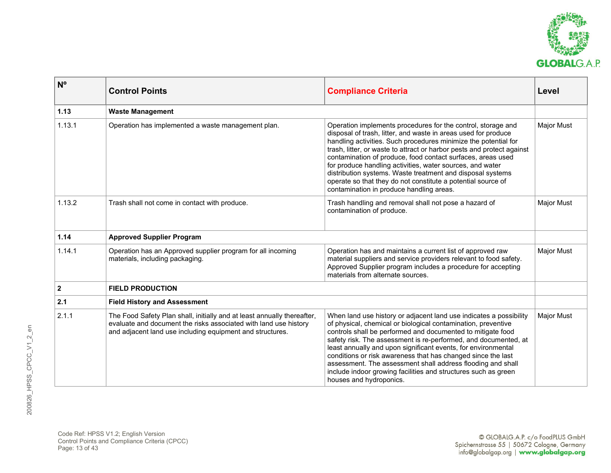

| $N^{\circ}$  | <b>Control Points</b>                                                                                                                                                                                    | <b>Compliance Criteria</b>                                                                                                                                                                                                                                                                                                                                                                                                                                                                                                                                                        | Level             |
|--------------|----------------------------------------------------------------------------------------------------------------------------------------------------------------------------------------------------------|-----------------------------------------------------------------------------------------------------------------------------------------------------------------------------------------------------------------------------------------------------------------------------------------------------------------------------------------------------------------------------------------------------------------------------------------------------------------------------------------------------------------------------------------------------------------------------------|-------------------|
| 1.13         | <b>Waste Management</b>                                                                                                                                                                                  |                                                                                                                                                                                                                                                                                                                                                                                                                                                                                                                                                                                   |                   |
| 1.13.1       | Operation has implemented a waste management plan.                                                                                                                                                       | Operation implements procedures for the control, storage and<br>disposal of trash, litter, and waste in areas used for produce<br>handling activities. Such procedures minimize the potential for<br>trash, litter, or waste to attract or harbor pests and protect against<br>contamination of produce, food contact surfaces, areas used<br>for produce handling activities, water sources, and water<br>distribution systems. Waste treatment and disposal systems<br>operate so that they do not constitute a potential source of<br>contamination in produce handling areas. | <b>Major Must</b> |
| 1.13.2       | Trash shall not come in contact with produce.                                                                                                                                                            | Trash handling and removal shall not pose a hazard of<br>contamination of produce.                                                                                                                                                                                                                                                                                                                                                                                                                                                                                                | <b>Major Must</b> |
| 1.14         | <b>Approved Supplier Program</b>                                                                                                                                                                         |                                                                                                                                                                                                                                                                                                                                                                                                                                                                                                                                                                                   |                   |
| 1.14.1       | Operation has an Approved supplier program for all incoming<br>materials, including packaging.                                                                                                           | Operation has and maintains a current list of approved raw<br>material suppliers and service providers relevant to food safety.<br>Approved Supplier program includes a procedure for accepting<br>materials from alternate sources.                                                                                                                                                                                                                                                                                                                                              | <b>Major Must</b> |
| $\mathbf{2}$ | <b>FIELD PRODUCTION</b>                                                                                                                                                                                  |                                                                                                                                                                                                                                                                                                                                                                                                                                                                                                                                                                                   |                   |
| 2.1          | <b>Field History and Assessment</b>                                                                                                                                                                      |                                                                                                                                                                                                                                                                                                                                                                                                                                                                                                                                                                                   |                   |
| 2.1.1        | The Food Safety Plan shall, initially and at least annually thereafter,<br>evaluate and document the risks associated with land use history<br>and adjacent land use including equipment and structures. | When land use history or adjacent land use indicates a possibility<br>of physical, chemical or biological contamination, preventive<br>controls shall be performed and documented to mitigate food<br>safety risk. The assessment is re-performed, and documented, at<br>least annually and upon significant events, for environmental<br>conditions or risk awareness that has changed since the last<br>assessment. The assessment shall address flooding and shall<br>include indoor growing facilities and structures such as green<br>houses and hydroponics.                | <b>Major Must</b> |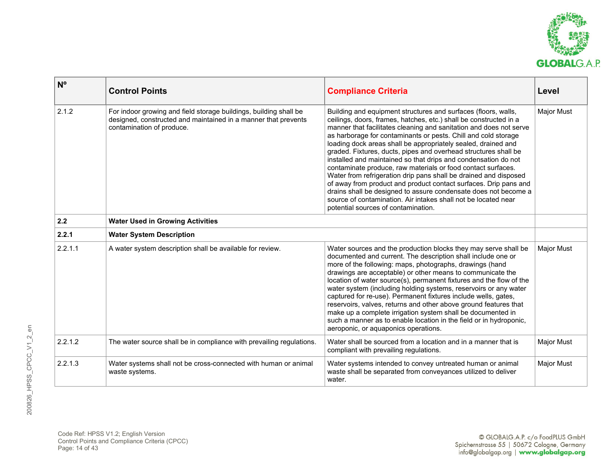

| $N^{\circ}$ | <b>Control Points</b>                                                                                                                                            | <b>Compliance Criteria</b>                                                                                                                                                                                                                                                                                                                                                                                                                                                                                                                                                                                                                                                                                                                                                                                                                                            | Level             |
|-------------|------------------------------------------------------------------------------------------------------------------------------------------------------------------|-----------------------------------------------------------------------------------------------------------------------------------------------------------------------------------------------------------------------------------------------------------------------------------------------------------------------------------------------------------------------------------------------------------------------------------------------------------------------------------------------------------------------------------------------------------------------------------------------------------------------------------------------------------------------------------------------------------------------------------------------------------------------------------------------------------------------------------------------------------------------|-------------------|
| 2.1.2       | For indoor growing and field storage buildings, building shall be<br>designed, constructed and maintained in a manner that prevents<br>contamination of produce. | Building and equipment structures and surfaces (floors, walls,<br>ceilings, doors, frames, hatches, etc.) shall be constructed in a<br>manner that facilitates cleaning and sanitation and does not serve<br>as harborage for contaminants or pests. Chill and cold storage<br>loading dock areas shall be appropriately sealed, drained and<br>graded. Fixtures, ducts, pipes and overhead structures shall be<br>installed and maintained so that drips and condensation do not<br>contaminate produce, raw materials or food contact surfaces.<br>Water from refrigeration drip pans shall be drained and disposed<br>of away from product and product contact surfaces. Drip pans and<br>drains shall be designed to assure condensate does not become a<br>source of contamination. Air intakes shall not be located near<br>potential sources of contamination. | <b>Major Must</b> |
| 2.2         | <b>Water Used in Growing Activities</b>                                                                                                                          |                                                                                                                                                                                                                                                                                                                                                                                                                                                                                                                                                                                                                                                                                                                                                                                                                                                                       |                   |
| 2.2.1       | <b>Water System Description</b>                                                                                                                                  |                                                                                                                                                                                                                                                                                                                                                                                                                                                                                                                                                                                                                                                                                                                                                                                                                                                                       |                   |
| 2.2.1.1     | A water system description shall be available for review.                                                                                                        | Water sources and the production blocks they may serve shall be<br>documented and current. The description shall include one or<br>more of the following: maps, photographs, drawings (hand<br>drawings are acceptable) or other means to communicate the<br>location of water source(s), permanent fixtures and the flow of the<br>water system (including holding systems, reservoirs or any water<br>captured for re-use). Permanent fixtures include wells, gates,<br>reservoirs, valves, returns and other above ground features that<br>make up a complete irrigation system shall be documented in<br>such a manner as to enable location in the field or in hydroponic,<br>aeroponic, or aquaponics operations.                                                                                                                                               | <b>Major Must</b> |
| 2.2.1.2     | The water source shall be in compliance with prevailing regulations.                                                                                             | Water shall be sourced from a location and in a manner that is<br>compliant with prevailing regulations.                                                                                                                                                                                                                                                                                                                                                                                                                                                                                                                                                                                                                                                                                                                                                              | <b>Major Must</b> |
| 2.2.1.3     | Water systems shall not be cross-connected with human or animal<br>waste systems.                                                                                | Water systems intended to convey untreated human or animal<br>waste shall be separated from conveyances utilized to deliver<br>water.                                                                                                                                                                                                                                                                                                                                                                                                                                                                                                                                                                                                                                                                                                                                 | <b>Major Must</b> |

Code Ref: HPSS V1.2; English Version Control Points and Compliance Criteria (CPCC) Page: 14 of 43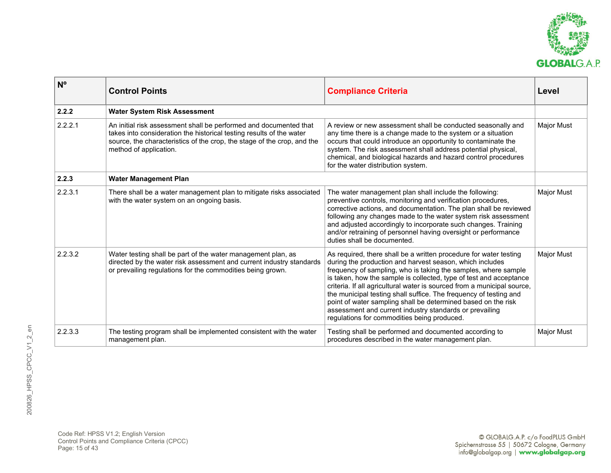

| N <sup>o</sup> | <b>Control Points</b>                                                                                                                                                                                                                          | <b>Compliance Criteria</b>                                                                                                                                                                                                                                                                                                                                                                                                                                                                                                                                                                       | Level             |
|----------------|------------------------------------------------------------------------------------------------------------------------------------------------------------------------------------------------------------------------------------------------|--------------------------------------------------------------------------------------------------------------------------------------------------------------------------------------------------------------------------------------------------------------------------------------------------------------------------------------------------------------------------------------------------------------------------------------------------------------------------------------------------------------------------------------------------------------------------------------------------|-------------------|
| 2.2.2          | <b>Water System Risk Assessment</b>                                                                                                                                                                                                            |                                                                                                                                                                                                                                                                                                                                                                                                                                                                                                                                                                                                  |                   |
| 2.2.2.1        | An initial risk assessment shall be performed and documented that<br>takes into consideration the historical testing results of the water<br>source, the characteristics of the crop, the stage of the crop, and the<br>method of application. | A review or new assessment shall be conducted seasonally and<br>any time there is a change made to the system or a situation<br>occurs that could introduce an opportunity to contaminate the<br>system. The risk assessment shall address potential physical,<br>chemical, and biological hazards and hazard control procedures<br>for the water distribution system.                                                                                                                                                                                                                           | <b>Major Must</b> |
| 2.2.3          | <b>Water Management Plan</b>                                                                                                                                                                                                                   |                                                                                                                                                                                                                                                                                                                                                                                                                                                                                                                                                                                                  |                   |
| 2.2.3.1        | There shall be a water management plan to mitigate risks associated<br>with the water system on an ongoing basis.                                                                                                                              | The water management plan shall include the following:<br>preventive controls, monitoring and verification procedures,<br>corrective actions, and documentation. The plan shall be reviewed<br>following any changes made to the water system risk assessment<br>and adjusted accordingly to incorporate such changes. Training<br>and/or retraining of personnel having oversight or performance<br>duties shall be documented.                                                                                                                                                                 | <b>Major Must</b> |
| 2.2.3.2        | Water testing shall be part of the water management plan, as<br>directed by the water risk assessment and current industry standards<br>or prevailing regulations for the commodities being grown.                                             | As required, there shall be a written procedure for water testing<br>during the production and harvest season, which includes<br>frequency of sampling, who is taking the samples, where sample<br>is taken, how the sample is collected, type of test and acceptance<br>criteria. If all agricultural water is sourced from a municipal source,<br>the municipal testing shall suffice. The frequency of testing and<br>point of water sampling shall be determined based on the risk<br>assessment and current industry standards or prevailing<br>regulations for commodities being produced. | <b>Major Must</b> |
| 2.2.3.3        | The testing program shall be implemented consistent with the water<br>management plan.                                                                                                                                                         | Testing shall be performed and documented according to<br>procedures described in the water management plan.                                                                                                                                                                                                                                                                                                                                                                                                                                                                                     | Major Must        |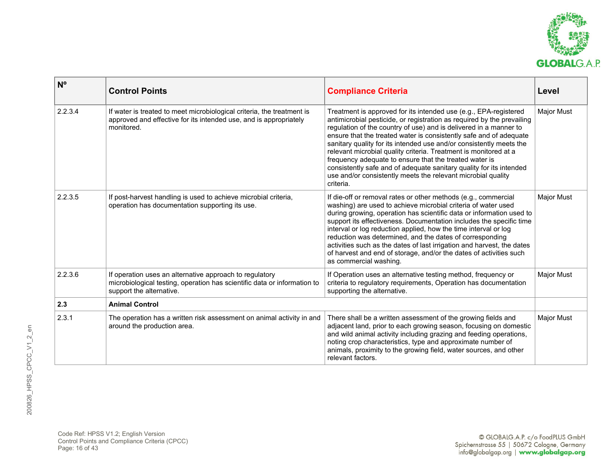

| $N^{\circ}$ | <b>Control Points</b>                                                                                                                                           | <b>Compliance Criteria</b>                                                                                                                                                                                                                                                                                                                                                                                                                                                                                                                                                                                                                     | Level             |
|-------------|-----------------------------------------------------------------------------------------------------------------------------------------------------------------|------------------------------------------------------------------------------------------------------------------------------------------------------------------------------------------------------------------------------------------------------------------------------------------------------------------------------------------------------------------------------------------------------------------------------------------------------------------------------------------------------------------------------------------------------------------------------------------------------------------------------------------------|-------------------|
| 2.2.3.4     | If water is treated to meet microbiological criteria, the treatment is<br>approved and effective for its intended use, and is appropriately<br>monitored.       | Treatment is approved for its intended use (e.g., EPA-registered<br>antimicrobial pesticide, or registration as required by the prevailing<br>regulation of the country of use) and is delivered in a manner to<br>ensure that the treated water is consistently safe and of adequate<br>sanitary quality for its intended use and/or consistently meets the<br>relevant microbial quality criteria. Treatment is monitored at a<br>frequency adequate to ensure that the treated water is<br>consistently safe and of adequate sanitary quality for its intended<br>use and/or consistently meets the relevant microbial quality<br>criteria. | <b>Major Must</b> |
| 2.2.3.5     | If post-harvest handling is used to achieve microbial criteria,<br>operation has documentation supporting its use.                                              | If die-off or removal rates or other methods (e.g., commercial<br>washing) are used to achieve microbial criteria of water used<br>during growing, operation has scientific data or information used to<br>support its effectiveness. Documentation includes the specific time<br>interval or log reduction applied, how the time interval or log<br>reduction was determined, and the dates of corresponding<br>activities such as the dates of last irrigation and harvest, the dates<br>of harvest and end of storage, and/or the dates of activities such<br>as commercial washing.                                                        | Major Must        |
| 2.2.3.6     | If operation uses an alternative approach to regulatory<br>microbiological testing, operation has scientific data or information to<br>support the alternative. | If Operation uses an alternative testing method, frequency or<br>criteria to regulatory requirements, Operation has documentation<br>supporting the alternative.                                                                                                                                                                                                                                                                                                                                                                                                                                                                               | <b>Major Must</b> |
| 2.3         | <b>Animal Control</b>                                                                                                                                           |                                                                                                                                                                                                                                                                                                                                                                                                                                                                                                                                                                                                                                                |                   |
| 2.3.1       | The operation has a written risk assessment on animal activity in and<br>around the production area.                                                            | There shall be a written assessment of the growing fields and<br>adjacent land, prior to each growing season, focusing on domestic<br>and wild animal activity including grazing and feeding operations,<br>noting crop characteristics, type and approximate number of<br>animals, proximity to the growing field, water sources, and other<br>relevant factors.                                                                                                                                                                                                                                                                              | <b>Major Must</b> |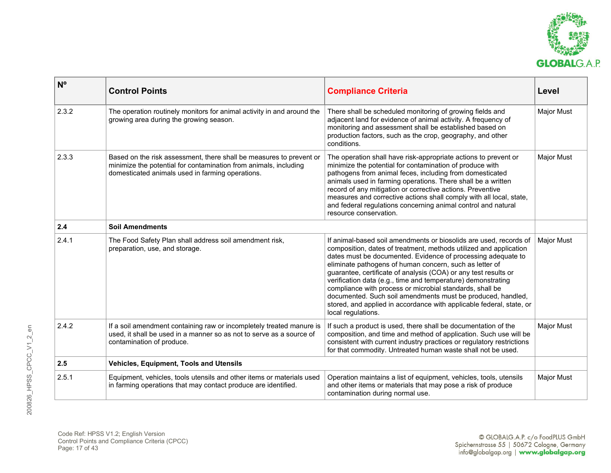

| N <sup>o</sup> | <b>Control Points</b>                                                                                                                                                                       | <b>Compliance Criteria</b>                                                                                                                                                                                                                                                                                                                                                                                                                                                                                                                                                                                                    | Level             |
|----------------|---------------------------------------------------------------------------------------------------------------------------------------------------------------------------------------------|-------------------------------------------------------------------------------------------------------------------------------------------------------------------------------------------------------------------------------------------------------------------------------------------------------------------------------------------------------------------------------------------------------------------------------------------------------------------------------------------------------------------------------------------------------------------------------------------------------------------------------|-------------------|
| 2.3.2          | The operation routinely monitors for animal activity in and around the<br>growing area during the growing season.                                                                           | There shall be scheduled monitoring of growing fields and<br>adjacent land for evidence of animal activity. A frequency of<br>monitoring and assessment shall be established based on<br>production factors, such as the crop, geography, and other<br>conditions.                                                                                                                                                                                                                                                                                                                                                            | <b>Major Must</b> |
| 2.3.3          | Based on the risk assessment, there shall be measures to prevent or<br>minimize the potential for contamination from animals, including<br>domesticated animals used in farming operations. | The operation shall have risk-appropriate actions to prevent or<br>minimize the potential for contamination of produce with<br>pathogens from animal feces, including from domesticated<br>animals used in farming operations. There shall be a written<br>record of any mitigation or corrective actions. Preventive<br>measures and corrective actions shall comply with all local, state,<br>and federal regulations concerning animal control and natural<br>resource conservation.                                                                                                                                       | <b>Major Must</b> |
| 2.4            | <b>Soil Amendments</b>                                                                                                                                                                      |                                                                                                                                                                                                                                                                                                                                                                                                                                                                                                                                                                                                                               |                   |
| 2.4.1          | The Food Safety Plan shall address soil amendment risk,<br>preparation, use, and storage.                                                                                                   | If animal-based soil amendments or biosolids are used, records of<br>composition, dates of treatment, methods utilized and application<br>dates must be documented. Evidence of processing adequate to<br>eliminate pathogens of human concern, such as letter of<br>guarantee, certificate of analysis (COA) or any test results or<br>verification data (e.g., time and temperature) demonstrating<br>compliance with process or microbial standards, shall be<br>documented. Such soil amendments must be produced, handled,<br>stored, and applied in accordance with applicable federal, state, or<br>local regulations. | <b>Major Must</b> |
| 2.4.2          | If a soil amendment containing raw or incompletely treated manure is<br>used, it shall be used in a manner so as not to serve as a source of<br>contamination of produce.                   | If such a product is used, there shall be documentation of the<br>composition, and time and method of application. Such use will be<br>consistent with current industry practices or regulatory restrictions<br>for that commodity. Untreated human waste shall not be used.                                                                                                                                                                                                                                                                                                                                                  | <b>Major Must</b> |
| 2.5            | <b>Vehicles, Equipment, Tools and Utensils</b>                                                                                                                                              |                                                                                                                                                                                                                                                                                                                                                                                                                                                                                                                                                                                                                               |                   |
| 2.5.1          | Equipment, vehicles, tools utensils and other items or materials used<br>in farming operations that may contact produce are identified.                                                     | Operation maintains a list of equipment, vehicles, tools, utensils<br>and other items or materials that may pose a risk of produce<br>contamination during normal use.                                                                                                                                                                                                                                                                                                                                                                                                                                                        | <b>Major Must</b> |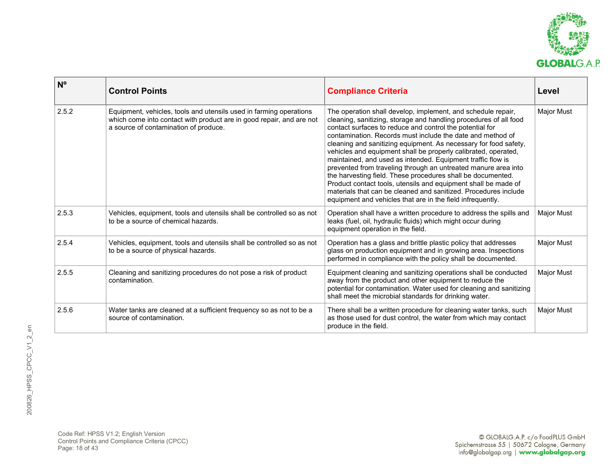

| $N^{\circ}$ | <b>Control Points</b>                                                                                                                                                               | <b>Compliance Criteria</b>                                                                                                                                                                                                                                                                                                                                                                                                                                                                                                                                                                                                                                                                                                                                                                           | Level             |
|-------------|-------------------------------------------------------------------------------------------------------------------------------------------------------------------------------------|------------------------------------------------------------------------------------------------------------------------------------------------------------------------------------------------------------------------------------------------------------------------------------------------------------------------------------------------------------------------------------------------------------------------------------------------------------------------------------------------------------------------------------------------------------------------------------------------------------------------------------------------------------------------------------------------------------------------------------------------------------------------------------------------------|-------------------|
| 2.5.2       | Equipment, vehicles, tools and utensils used in farming operations<br>which come into contact with product are in good repair, and are not<br>a source of contamination of produce. | The operation shall develop, implement, and schedule repair,<br>cleaning, sanitizing, storage and handling procedures of all food<br>contact surfaces to reduce and control the potential for<br>contamination. Records must include the date and method of<br>cleaning and sanitizing equipment. As necessary for food safety,<br>vehicles and equipment shall be properly calibrated, operated,<br>maintained, and used as intended. Equipment traffic flow is<br>prevented from traveling through an untreated manure area into<br>the harvesting field. These procedures shall be documented.<br>Product contact tools, utensils and equipment shall be made of<br>materials that can be cleaned and sanitized. Procedures include<br>equipment and vehicles that are in the field infrequently. | Major Must        |
| 2.5.3       | Vehicles, equipment, tools and utensils shall be controlled so as not<br>to be a source of chemical hazards.                                                                        | Operation shall have a written procedure to address the spills and<br>leaks (fuel, oil, hydraulic fluids) which might occur during<br>equipment operation in the field.                                                                                                                                                                                                                                                                                                                                                                                                                                                                                                                                                                                                                              | Major Must        |
| 2.5.4       | Vehicles, equipment, tools and utensils shall be controlled so as not<br>to be a source of physical hazards.                                                                        | Operation has a glass and brittle plastic policy that addresses<br>glass on production equipment and in growing area. Inspections<br>performed in compliance with the policy shall be documented.                                                                                                                                                                                                                                                                                                                                                                                                                                                                                                                                                                                                    | <b>Major Must</b> |
| 2.5.5       | Cleaning and sanitizing procedures do not pose a risk of product<br>contamination.                                                                                                  | Equipment cleaning and sanitizing operations shall be conducted<br>away from the product and other equipment to reduce the<br>potential for contamination. Water used for cleaning and sanitizing<br>shall meet the microbial standards for drinking water.                                                                                                                                                                                                                                                                                                                                                                                                                                                                                                                                          | Major Must        |
| 2.5.6       | Water tanks are cleaned at a sufficient frequency so as not to be a<br>source of contamination.                                                                                     | There shall be a written procedure for cleaning water tanks, such<br>as those used for dust control, the water from which may contact<br>produce in the field.                                                                                                                                                                                                                                                                                                                                                                                                                                                                                                                                                                                                                                       | Major Must        |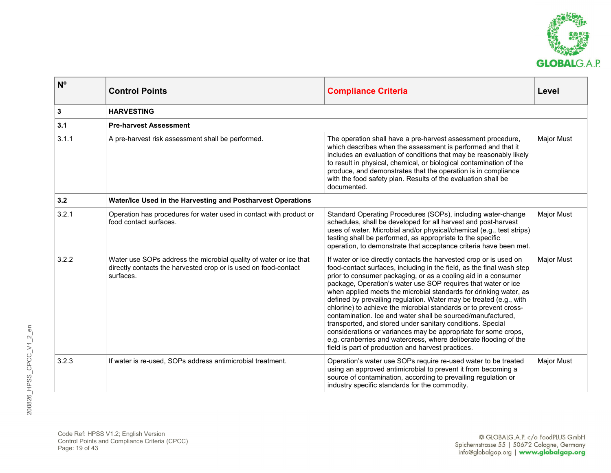

| $N^{\circ}$  | <b>Control Points</b>                                                                                                                             | <b>Compliance Criteria</b>                                                                                                                                                                                                                                                                                                                                                                                                                                                                                                                                                                                                                                                                                                                                                                                               | Level             |
|--------------|---------------------------------------------------------------------------------------------------------------------------------------------------|--------------------------------------------------------------------------------------------------------------------------------------------------------------------------------------------------------------------------------------------------------------------------------------------------------------------------------------------------------------------------------------------------------------------------------------------------------------------------------------------------------------------------------------------------------------------------------------------------------------------------------------------------------------------------------------------------------------------------------------------------------------------------------------------------------------------------|-------------------|
| $\mathbf{3}$ | <b>HARVESTING</b>                                                                                                                                 |                                                                                                                                                                                                                                                                                                                                                                                                                                                                                                                                                                                                                                                                                                                                                                                                                          |                   |
| 3.1          | <b>Pre-harvest Assessment</b>                                                                                                                     |                                                                                                                                                                                                                                                                                                                                                                                                                                                                                                                                                                                                                                                                                                                                                                                                                          |                   |
| 3.1.1        | A pre-harvest risk assessment shall be performed.                                                                                                 | The operation shall have a pre-harvest assessment procedure,<br>which describes when the assessment is performed and that it<br>includes an evaluation of conditions that may be reasonably likely<br>to result in physical, chemical, or biological contamination of the<br>produce, and demonstrates that the operation is in compliance<br>with the food safety plan. Results of the evaluation shall be<br>documented.                                                                                                                                                                                                                                                                                                                                                                                               | Major Must        |
| 3.2          | Water/Ice Used in the Harvesting and Postharvest Operations                                                                                       |                                                                                                                                                                                                                                                                                                                                                                                                                                                                                                                                                                                                                                                                                                                                                                                                                          |                   |
| 3.2.1        | Operation has procedures for water used in contact with product or<br>food contact surfaces.                                                      | Standard Operating Procedures (SOPs), including water-change<br>schedules, shall be developed for all harvest and post-harvest<br>uses of water. Microbial and/or physical/chemical (e.g., test strips)<br>testing shall be performed, as appropriate to the specific<br>operation, to demonstrate that acceptance criteria have been met.                                                                                                                                                                                                                                                                                                                                                                                                                                                                               | Major Must        |
| 3.2.2        | Water use SOPs address the microbial quality of water or ice that<br>directly contacts the harvested crop or is used on food-contact<br>surfaces. | If water or ice directly contacts the harvested crop or is used on<br>food-contact surfaces, including in the field, as the final wash step<br>prior to consumer packaging, or as a cooling aid in a consumer<br>package, Operation's water use SOP requires that water or ice<br>when applied meets the microbial standards for drinking water, as<br>defined by prevailing regulation. Water may be treated (e.g., with<br>chlorine) to achieve the microbial standards or to prevent cross-<br>contamination. Ice and water shall be sourced/manufactured,<br>transported, and stored under sanitary conditions. Special<br>considerations or variances may be appropriate for some crops,<br>e.g. cranberries and watercress, where deliberate flooding of the<br>field is part of production and harvest practices. | <b>Major Must</b> |
| 3.2.3        | If water is re-used, SOPs address antimicrobial treatment.                                                                                        | Operation's water use SOPs require re-used water to be treated<br>using an approved antimicrobial to prevent it from becoming a<br>source of contamination, according to prevailing regulation or<br>industry specific standards for the commodity.                                                                                                                                                                                                                                                                                                                                                                                                                                                                                                                                                                      | Major Must        |

Code Ref: HPSS V1.2; English Version Control Points and Compliance Criteria (CPCC) Page: 19 of 43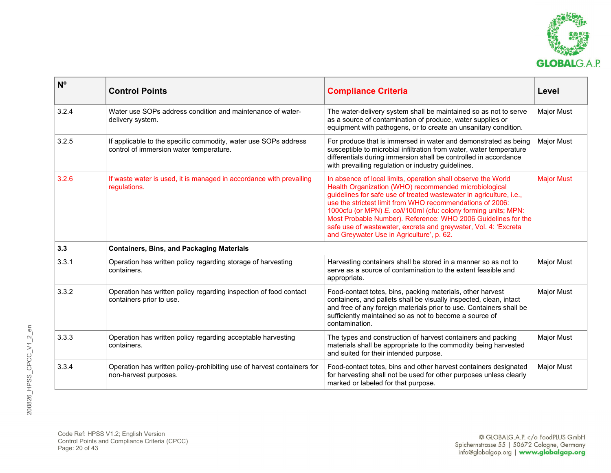

| $N^{\circ}$ | <b>Control Points</b>                                                                                      | <b>Compliance Criteria</b>                                                                                                                                                                                                                                                                                                                                                                                                                                                                                     | Level             |
|-------------|------------------------------------------------------------------------------------------------------------|----------------------------------------------------------------------------------------------------------------------------------------------------------------------------------------------------------------------------------------------------------------------------------------------------------------------------------------------------------------------------------------------------------------------------------------------------------------------------------------------------------------|-------------------|
| 3.2.4       | Water use SOPs address condition and maintenance of water-<br>delivery system.                             | The water-delivery system shall be maintained so as not to serve<br>as a source of contamination of produce, water supplies or<br>equipment with pathogens, or to create an unsanitary condition.                                                                                                                                                                                                                                                                                                              | <b>Major Must</b> |
| 3.2.5       | If applicable to the specific commodity, water use SOPs address<br>control of immersion water temperature. | For produce that is immersed in water and demonstrated as being<br>susceptible to microbial infiltration from water, water temperature<br>differentials during immersion shall be controlled in accordance<br>with prevailing regulation or industry guidelines.                                                                                                                                                                                                                                               | <b>Major Must</b> |
| 3.2.6       | If waste water is used, it is managed in accordance with prevailing<br>regulations.                        | In absence of local limits, operation shall observe the World<br>Health Organization (WHO) recommended microbiological<br>guidelines for safe use of treated wastewater in agriculture, i.e.,<br>use the strictest limit from WHO recommendations of 2006:<br>1000cfu (or MPN) E. coli/100ml (cfu: colony forming units; MPN:<br>Most Probable Number). Reference: WHO 2006 Guidelines for the<br>safe use of wastewater, excreta and greywater, Vol. 4: 'Excreta<br>and Greywater Use in Agriculture', p. 62. | <b>Major Must</b> |
| 3.3         | <b>Containers, Bins, and Packaging Materials</b>                                                           |                                                                                                                                                                                                                                                                                                                                                                                                                                                                                                                |                   |
| 3.3.1       | Operation has written policy regarding storage of harvesting<br>containers.                                | Harvesting containers shall be stored in a manner so as not to<br>serve as a source of contamination to the extent feasible and<br>appropriate.                                                                                                                                                                                                                                                                                                                                                                | <b>Major Must</b> |
| 3.3.2       | Operation has written policy regarding inspection of food contact<br>containers prior to use.              | Food-contact totes, bins, packing materials, other harvest<br>containers, and pallets shall be visually inspected, clean, intact<br>and free of any foreign materials prior to use. Containers shall be<br>sufficiently maintained so as not to become a source of<br>contamination.                                                                                                                                                                                                                           | <b>Major Must</b> |
| 3.3.3       | Operation has written policy regarding acceptable harvesting<br>containers.                                | The types and construction of harvest containers and packing<br>materials shall be appropriate to the commodity being harvested<br>and suited for their intended purpose.                                                                                                                                                                                                                                                                                                                                      | <b>Major Must</b> |
| 3.3.4       | Operation has written policy-prohibiting use of harvest containers for<br>non-harvest purposes.            | Food-contact totes, bins and other harvest containers designated<br>for harvesting shall not be used for other purposes unless clearly<br>marked or labeled for that purpose.                                                                                                                                                                                                                                                                                                                                  | Major Must        |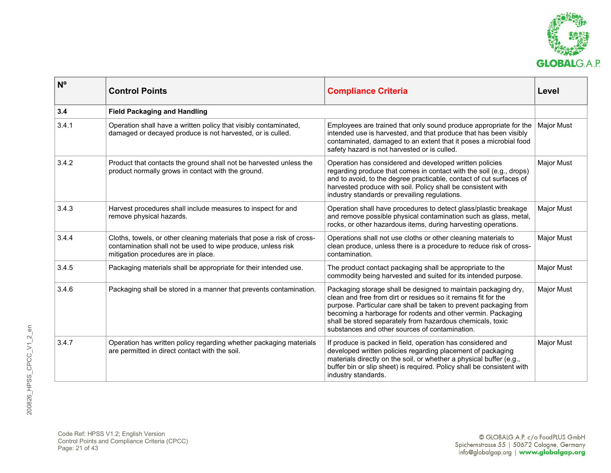

| N <sup>o</sup> | <b>Control Points</b>                                                                                                                                                         | <b>Compliance Criteria</b>                                                                                                                                                                                                                                                                                                                                                            | Level             |
|----------------|-------------------------------------------------------------------------------------------------------------------------------------------------------------------------------|---------------------------------------------------------------------------------------------------------------------------------------------------------------------------------------------------------------------------------------------------------------------------------------------------------------------------------------------------------------------------------------|-------------------|
| 3.4            | <b>Field Packaging and Handling</b>                                                                                                                                           |                                                                                                                                                                                                                                                                                                                                                                                       |                   |
| 3.4.1          | Operation shall have a written policy that visibly contaminated,<br>damaged or decayed produce is not harvested, or is culled.                                                | Employees are trained that only sound produce appropriate for the<br>intended use is harvested, and that produce that has been visibly<br>contaminated, damaged to an extent that it poses a microbial food<br>safety hazard is not harvested or is culled.                                                                                                                           | Major Must        |
| 3.4.2          | Product that contacts the ground shall not be harvested unless the<br>product normally grows in contact with the ground.                                                      | Operation has considered and developed written policies<br>regarding produce that comes in contact with the soil (e.g., drops)<br>and to avoid, to the degree practicable, contact of cut surfaces of<br>harvested produce with soil. Policy shall be consistent with<br>industry standards or prevailing regulations.                                                                | <b>Major Must</b> |
| 3.4.3          | Harvest procedures shall include measures to inspect for and<br>remove physical hazards.                                                                                      | Operation shall have procedures to detect glass/plastic breakage<br>and remove possible physical contamination such as glass, metal,<br>rocks, or other hazardous items, during harvesting operations.                                                                                                                                                                                | Major Must        |
| 3.4.4          | Cloths, towels, or other cleaning materials that pose a risk of cross-<br>contamination shall not be used to wipe produce, unless risk<br>mitigation procedures are in place. | Operations shall not use cloths or other cleaning materials to<br>clean produce, unless there is a procedure to reduce risk of cross-<br>contamination.                                                                                                                                                                                                                               | Major Must        |
| 3.4.5          | Packaging materials shall be appropriate for their intended use.                                                                                                              | The product contact packaging shall be appropriate to the<br>commodity being harvested and suited for its intended purpose.                                                                                                                                                                                                                                                           | Major Must        |
| 3.4.6          | Packaging shall be stored in a manner that prevents contamination.                                                                                                            | Packaging storage shall be designed to maintain packaging dry,<br>clean and free from dirt or residues so it remains fit for the<br>purpose. Particular care shall be taken to prevent packaging from<br>becoming a harborage for rodents and other vermin. Packaging<br>shall be stored separately from hazardous chemicals, toxic<br>substances and other sources of contamination. | Major Must        |
| 3.4.7          | Operation has written policy regarding whether packaging materials<br>are permitted in direct contact with the soil.                                                          | If produce is packed in field, operation has considered and<br>developed written policies regarding placement of packaging<br>materials directly on the soil, or whether a physical buffer (e.g.,<br>buffer bin or slip sheet) is required. Policy shall be consistent with<br>industry standards.                                                                                    | Major Must        |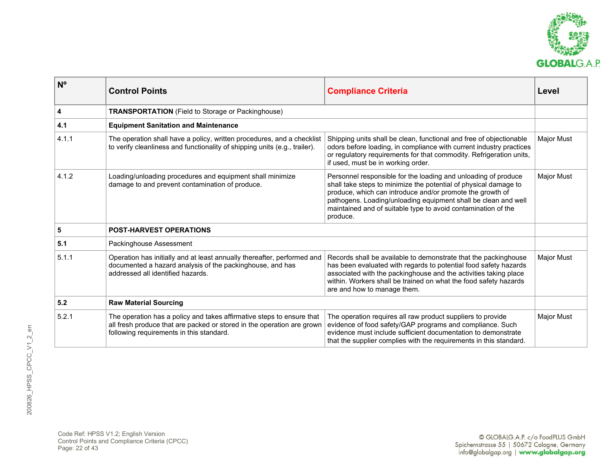

| $\mathsf{N}^\mathsf{o}$ | <b>Control Points</b>                                                                                                                                                                       | <b>Compliance Criteria</b>                                                                                                                                                                                                                                                                                                                     | Level             |
|-------------------------|---------------------------------------------------------------------------------------------------------------------------------------------------------------------------------------------|------------------------------------------------------------------------------------------------------------------------------------------------------------------------------------------------------------------------------------------------------------------------------------------------------------------------------------------------|-------------------|
| $\overline{\mathbf{4}}$ | <b>TRANSPORTATION</b> (Field to Storage or Packinghouse)                                                                                                                                    |                                                                                                                                                                                                                                                                                                                                                |                   |
| 4.1                     | <b>Equipment Sanitation and Maintenance</b>                                                                                                                                                 |                                                                                                                                                                                                                                                                                                                                                |                   |
| 4.1.1                   | The operation shall have a policy, written procedures, and a checklist<br>to verify cleanliness and functionality of shipping units (e.g., trailer).                                        | Shipping units shall be clean, functional and free of objectionable<br>odors before loading, in compliance with current industry practices<br>or regulatory requirements for that commodity. Refrigeration units,<br>if used, must be in working order.                                                                                        | <b>Major Must</b> |
| 4.1.2                   | Loading/unloading procedures and equipment shall minimize<br>damage to and prevent contamination of produce.                                                                                | Personnel responsible for the loading and unloading of produce<br>shall take steps to minimize the potential of physical damage to<br>produce, which can introduce and/or promote the growth of<br>pathogens. Loading/unloading equipment shall be clean and well<br>maintained and of suitable type to avoid contamination of the<br>produce. | <b>Major Must</b> |
| $5\phantom{a}$          | <b>POST-HARVEST OPERATIONS</b>                                                                                                                                                              |                                                                                                                                                                                                                                                                                                                                                |                   |
| 5.1                     | Packinghouse Assessment                                                                                                                                                                     |                                                                                                                                                                                                                                                                                                                                                |                   |
| 5.1.1                   | Operation has initially and at least annually thereafter, performed and<br>documented a hazard analysis of the packinghouse, and has<br>addressed all identified hazards.                   | Records shall be available to demonstrate that the packinghouse<br>has been evaluated with regards to potential food safety hazards<br>associated with the packinghouse and the activities taking place<br>within. Workers shall be trained on what the food safety hazards<br>are and how to manage them.                                     | <b>Major Must</b> |
| $5.2$                   | <b>Raw Material Sourcing</b>                                                                                                                                                                |                                                                                                                                                                                                                                                                                                                                                |                   |
| 5.2.1                   | The operation has a policy and takes affirmative steps to ensure that<br>all fresh produce that are packed or stored in the operation are grown<br>following requirements in this standard. | The operation requires all raw product suppliers to provide<br>evidence of food safety/GAP programs and compliance. Such<br>evidence must include sufficient documentation to demonstrate<br>that the supplier complies with the requirements in this standard.                                                                                | <b>Major Must</b> |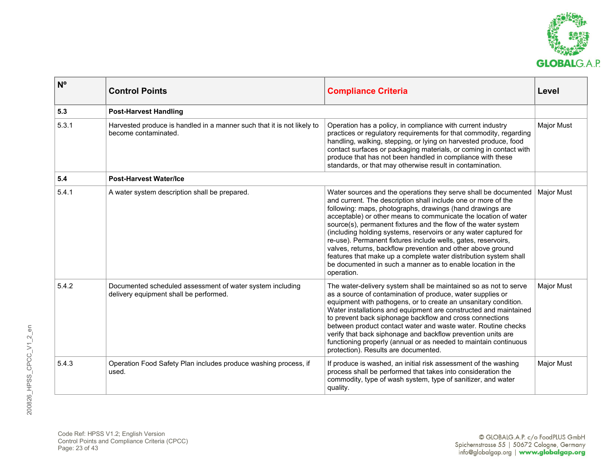

| $N^{\circ}$ | <b>Control Points</b>                                                                               | <b>Compliance Criteria</b>                                                                                                                                                                                                                                                                                                                                                                                                                                                                                                                                                                                                                                                              | Level             |
|-------------|-----------------------------------------------------------------------------------------------------|-----------------------------------------------------------------------------------------------------------------------------------------------------------------------------------------------------------------------------------------------------------------------------------------------------------------------------------------------------------------------------------------------------------------------------------------------------------------------------------------------------------------------------------------------------------------------------------------------------------------------------------------------------------------------------------------|-------------------|
| 5.3         | <b>Post-Harvest Handling</b>                                                                        |                                                                                                                                                                                                                                                                                                                                                                                                                                                                                                                                                                                                                                                                                         |                   |
| 5.3.1       | Harvested produce is handled in a manner such that it is not likely to<br>become contaminated.      | Operation has a policy, in compliance with current industry<br>practices or regulatory requirements for that commodity, regarding<br>handling, walking, stepping, or lying on harvested produce, food<br>contact surfaces or packaging materials, or coming in contact with<br>produce that has not been handled in compliance with these<br>standards, or that may otherwise result in contamination.                                                                                                                                                                                                                                                                                  | <b>Major Must</b> |
| 5.4         | <b>Post-Harvest Water/Ice</b>                                                                       |                                                                                                                                                                                                                                                                                                                                                                                                                                                                                                                                                                                                                                                                                         |                   |
| 5.4.1       | A water system description shall be prepared.                                                       | Water sources and the operations they serve shall be documented<br>and current. The description shall include one or more of the<br>following: maps, photographs, drawings (hand drawings are<br>acceptable) or other means to communicate the location of water<br>source(s), permanent fixtures and the flow of the water system<br>(including holding systems, reservoirs or any water captured for<br>re-use). Permanent fixtures include wells, gates, reservoirs,<br>valves, returns, backflow prevention and other above ground<br>features that make up a complete water distribution system shall<br>be documented in such a manner as to enable location in the<br>operation. | <b>Major Must</b> |
| 5.4.2       | Documented scheduled assessment of water system including<br>delivery equipment shall be performed. | The water-delivery system shall be maintained so as not to serve<br>as a source of contamination of produce, water supplies or<br>equipment with pathogens, or to create an unsanitary condition.<br>Water installations and equipment are constructed and maintained<br>to prevent back siphonage backflow and cross connections<br>between product contact water and waste water. Routine checks<br>verify that back siphonage and backflow prevention units are<br>functioning properly (annual or as needed to maintain continuous<br>protection). Results are documented.                                                                                                          | <b>Major Must</b> |
| 5.4.3       | Operation Food Safety Plan includes produce washing process, if<br>used.                            | If produce is washed, an initial risk assessment of the washing<br>process shall be performed that takes into consideration the<br>commodity, type of wash system, type of sanitizer, and water<br>quality.                                                                                                                                                                                                                                                                                                                                                                                                                                                                             | <b>Major Must</b> |

Code Ref: HPSS V1.2; English Version Control Points and Compliance Criteria (CPCC) Page: 23 of 43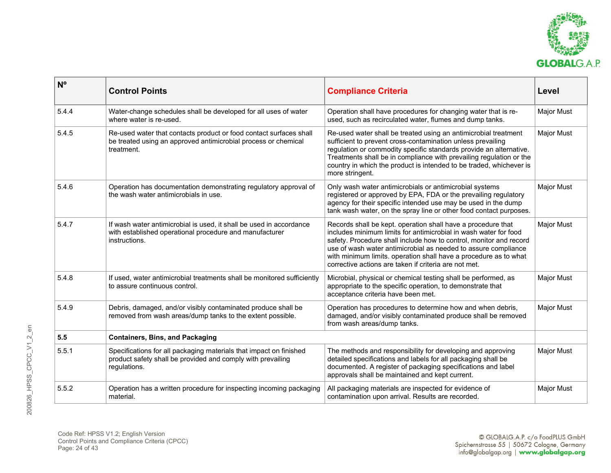

| N <sup>o</sup> | <b>Control Points</b>                                                                                                                              | <b>Compliance Criteria</b>                                                                                                                                                                                                                                                                                                                                                                            | Level             |
|----------------|----------------------------------------------------------------------------------------------------------------------------------------------------|-------------------------------------------------------------------------------------------------------------------------------------------------------------------------------------------------------------------------------------------------------------------------------------------------------------------------------------------------------------------------------------------------------|-------------------|
| 5.4.4          | Water-change schedules shall be developed for all uses of water<br>where water is re-used.                                                         | Operation shall have procedures for changing water that is re-<br>used, such as recirculated water, flumes and dump tanks.                                                                                                                                                                                                                                                                            | Major Must        |
| 5.4.5          | Re-used water that contacts product or food contact surfaces shall<br>be treated using an approved antimicrobial process or chemical<br>treatment. | Re-used water shall be treated using an antimicrobial treatment<br>sufficient to prevent cross-contamination unless prevailing<br>regulation or commodity specific standards provide an alternative.<br>Treatments shall be in compliance with prevailing regulation or the<br>country in which the product is intended to be traded, whichever is<br>more stringent.                                 | <b>Major Must</b> |
| 5.4.6          | Operation has documentation demonstrating regulatory approval of<br>the wash water antimicrobials in use.                                          | Only wash water antimicrobials or antimicrobial systems<br>registered or approved by EPA, FDA or the prevailing regulatory<br>agency for their specific intended use may be used in the dump<br>tank wash water, on the spray line or other food contact purposes.                                                                                                                                    | <b>Major Must</b> |
| 5.4.7          | If wash water antimicrobial is used, it shall be used in accordance<br>with established operational procedure and manufacturer<br>instructions.    | Records shall be kept. operation shall have a procedure that<br>includes minimum limits for antimicrobial in wash water for food<br>safety. Procedure shall include how to control, monitor and record<br>use of wash water antimicrobial as needed to assure compliance<br>with minimum limits, operation shall have a procedure as to what<br>corrective actions are taken if criteria are not met. | <b>Major Must</b> |
| 5.4.8          | If used, water antimicrobial treatments shall be monitored sufficiently<br>to assure continuous control.                                           | Microbial, physical or chemical testing shall be performed, as<br>appropriate to the specific operation, to demonstrate that<br>acceptance criteria have been met.                                                                                                                                                                                                                                    | Major Must        |
| 5.4.9          | Debris, damaged, and/or visibly contaminated produce shall be<br>removed from wash areas/dump tanks to the extent possible.                        | Operation has procedures to determine how and when debris,<br>damaged, and/or visibly contaminated produce shall be removed<br>from wash areas/dump tanks.                                                                                                                                                                                                                                            | <b>Major Must</b> |
| 5.5            | <b>Containers, Bins, and Packaging</b>                                                                                                             |                                                                                                                                                                                                                                                                                                                                                                                                       |                   |
| 5.5.1          | Specifications for all packaging materials that impact on finished<br>product safety shall be provided and comply with prevailing<br>regulations.  | The methods and responsibility for developing and approving<br>detailed specifications and labels for all packaging shall be<br>documented. A register of packaging specifications and label<br>approvals shall be maintained and kept current.                                                                                                                                                       | <b>Major Must</b> |
| 5.5.2          | Operation has a written procedure for inspecting incoming packaging<br>material.                                                                   | All packaging materials are inspected for evidence of<br>contamination upon arrival. Results are recorded.                                                                                                                                                                                                                                                                                            | <b>Major Must</b> |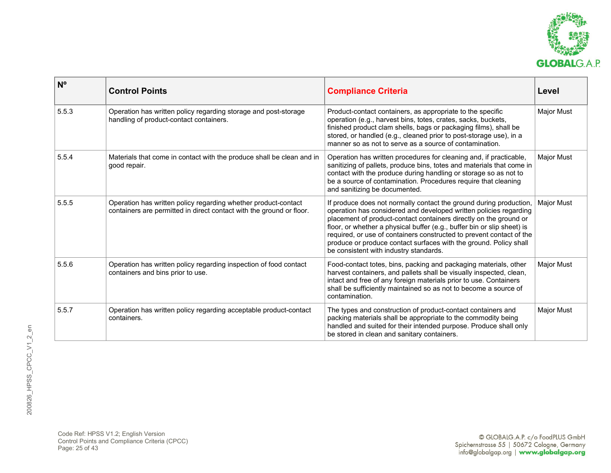

| N <sup>o</sup> | <b>Control Points</b>                                                                                                                  | <b>Compliance Criteria</b>                                                                                                                                                                                                                                                                                                                                                                                                                                                     | Level      |
|----------------|----------------------------------------------------------------------------------------------------------------------------------------|--------------------------------------------------------------------------------------------------------------------------------------------------------------------------------------------------------------------------------------------------------------------------------------------------------------------------------------------------------------------------------------------------------------------------------------------------------------------------------|------------|
| 5.5.3          | Operation has written policy regarding storage and post-storage<br>handling of product-contact containers.                             | Product-contact containers, as appropriate to the specific<br>operation (e.g., harvest bins, totes, crates, sacks, buckets,<br>finished product clam shells, bags or packaging films), shall be<br>stored, or handled (e.g., cleaned prior to post-storage use), in a<br>manner so as not to serve as a source of contamination.                                                                                                                                               | Major Must |
| 5.5.4          | Materials that come in contact with the produce shall be clean and in<br>good repair.                                                  | Operation has written procedures for cleaning and, if practicable,<br>sanitizing of pallets, produce bins, totes and materials that come in<br>contact with the produce during handling or storage so as not to<br>be a source of contamination. Procedures require that cleaning<br>and sanitizing be documented.                                                                                                                                                             | Major Must |
| 5.5.5          | Operation has written policy regarding whether product-contact<br>containers are permitted in direct contact with the ground or floor. | If produce does not normally contact the ground during production,<br>operation has considered and developed written policies regarding<br>placement of product-contact containers directly on the ground or<br>floor, or whether a physical buffer (e.g., buffer bin or slip sheet) is<br>required, or use of containers constructed to prevent contact of the<br>produce or produce contact surfaces with the ground. Policy shall<br>be consistent with industry standards. | Major Must |
| 5.5.6          | Operation has written policy regarding inspection of food contact<br>containers and bins prior to use.                                 | Food-contact totes, bins, packing and packaging materials, other<br>harvest containers, and pallets shall be visually inspected, clean,<br>intact and free of any foreign materials prior to use. Containers<br>shall be sufficiently maintained so as not to become a source of<br>contamination.                                                                                                                                                                             | Major Must |
| 5.5.7          | Operation has written policy regarding acceptable product-contact<br>containers.                                                       | The types and construction of product-contact containers and<br>packing materials shall be appropriate to the commodity being<br>handled and suited for their intended purpose. Produce shall only<br>be stored in clean and sanitary containers.                                                                                                                                                                                                                              | Major Must |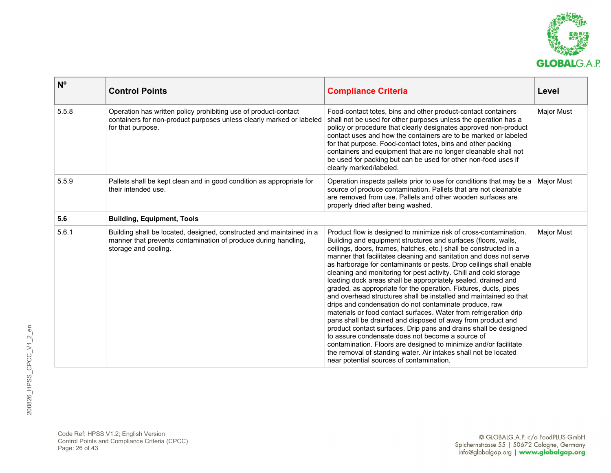

| $N^{\circ}$ | <b>Control Points</b>                                                                                                                                          | <b>Compliance Criteria</b>                                                                                                                                                                                                                                                                                                                                                                                                                                                                                                                                                                                                                                                                                                                                                                                                                                                                                                                                                                                                                                                                                                                   | Level             |
|-------------|----------------------------------------------------------------------------------------------------------------------------------------------------------------|----------------------------------------------------------------------------------------------------------------------------------------------------------------------------------------------------------------------------------------------------------------------------------------------------------------------------------------------------------------------------------------------------------------------------------------------------------------------------------------------------------------------------------------------------------------------------------------------------------------------------------------------------------------------------------------------------------------------------------------------------------------------------------------------------------------------------------------------------------------------------------------------------------------------------------------------------------------------------------------------------------------------------------------------------------------------------------------------------------------------------------------------|-------------------|
| 5.5.8       | Operation has written policy prohibiting use of product-contact<br>containers for non-product purposes unless clearly marked or labeled<br>for that purpose.   | Food-contact totes, bins and other product-contact containers<br>shall not be used for other purposes unless the operation has a<br>policy or procedure that clearly designates approved non-product<br>contact uses and how the containers are to be marked or labeled<br>for that purpose. Food-contact totes, bins and other packing<br>containers and equipment that are no longer cleanable shall not<br>be used for packing but can be used for other non-food uses if<br>clearly marked/labeled.                                                                                                                                                                                                                                                                                                                                                                                                                                                                                                                                                                                                                                      | <b>Major Must</b> |
| 5.5.9       | Pallets shall be kept clean and in good condition as appropriate for<br>their intended use.                                                                    | Operation inspects pallets prior to use for conditions that may be a<br>source of produce contamination. Pallets that are not cleanable<br>are removed from use. Pallets and other wooden surfaces are<br>properly dried after being washed.                                                                                                                                                                                                                                                                                                                                                                                                                                                                                                                                                                                                                                                                                                                                                                                                                                                                                                 | Major Must        |
| 5.6         | <b>Building, Equipment, Tools</b>                                                                                                                              |                                                                                                                                                                                                                                                                                                                                                                                                                                                                                                                                                                                                                                                                                                                                                                                                                                                                                                                                                                                                                                                                                                                                              |                   |
| 5.6.1       | Building shall be located, designed, constructed and maintained in a<br>manner that prevents contamination of produce during handling,<br>storage and cooling. | Product flow is designed to minimize risk of cross-contamination.<br>Building and equipment structures and surfaces (floors, walls,<br>ceilings, doors, frames, hatches, etc.) shall be constructed in a<br>manner that facilitates cleaning and sanitation and does not serve<br>as harborage for contaminants or pests. Drop ceilings shall enable<br>cleaning and monitoring for pest activity. Chill and cold storage<br>loading dock areas shall be appropriately sealed, drained and<br>graded, as appropriate for the operation. Fixtures, ducts, pipes<br>and overhead structures shall be installed and maintained so that<br>drips and condensation do not contaminate produce, raw<br>materials or food contact surfaces. Water from refrigeration drip<br>pans shall be drained and disposed of away from product and<br>product contact surfaces. Drip pans and drains shall be designed<br>to assure condensate does not become a source of<br>contamination. Floors are designed to minimize and/or facilitate<br>the removal of standing water. Air intakes shall not be located<br>near potential sources of contamination. | Major Must        |

Code Ref: HPSS V1.2; English Version Control Points and Compliance Criteria (CPCC) Page: 26 of 43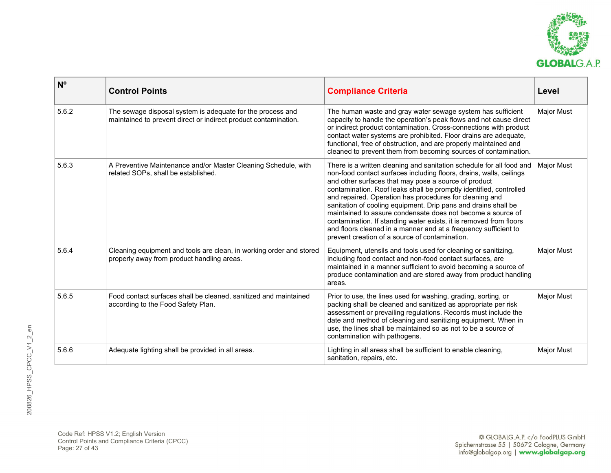

| N <sup>o</sup> | <b>Control Points</b>                                                                                                         | <b>Compliance Criteria</b>                                                                                                                                                                                                                                                                                                                                                                                                                                                                                                                                                                                                                                       | Level             |
|----------------|-------------------------------------------------------------------------------------------------------------------------------|------------------------------------------------------------------------------------------------------------------------------------------------------------------------------------------------------------------------------------------------------------------------------------------------------------------------------------------------------------------------------------------------------------------------------------------------------------------------------------------------------------------------------------------------------------------------------------------------------------------------------------------------------------------|-------------------|
| 5.6.2          | The sewage disposal system is adequate for the process and<br>maintained to prevent direct or indirect product contamination. | The human waste and gray water sewage system has sufficient<br>capacity to handle the operation's peak flows and not cause direct<br>or indirect product contamination. Cross-connections with product<br>contact water systems are prohibited. Floor drains are adequate,<br>functional, free of obstruction, and are properly maintained and<br>cleaned to prevent them from becoming sources of contamination.                                                                                                                                                                                                                                                | <b>Major Must</b> |
| 5.6.3          | A Preventive Maintenance and/or Master Cleaning Schedule, with<br>related SOPs, shall be established.                         | There is a written cleaning and sanitation schedule for all food and<br>non-food contact surfaces including floors, drains, walls, ceilings<br>and other surfaces that may pose a source of product<br>contamination. Roof leaks shall be promptly identified, controlled<br>and repaired. Operation has procedures for cleaning and<br>sanitation of cooling equipment. Drip pans and drains shall be<br>maintained to assure condensate does not become a source of<br>contamination. If standing water exists, it is removed from floors<br>and floors cleaned in a manner and at a frequency sufficient to<br>prevent creation of a source of contamination. | Major Must        |
| 5.6.4          | Cleaning equipment and tools are clean, in working order and stored<br>properly away from product handling areas.             | Equipment, utensils and tools used for cleaning or sanitizing,<br>including food contact and non-food contact surfaces, are<br>maintained in a manner sufficient to avoid becoming a source of<br>produce contamination and are stored away from product handling<br>areas.                                                                                                                                                                                                                                                                                                                                                                                      | <b>Major Must</b> |
| 5.6.5          | Food contact surfaces shall be cleaned, sanitized and maintained<br>according to the Food Safety Plan.                        | Prior to use, the lines used for washing, grading, sorting, or<br>packing shall be cleaned and sanitized as appropriate per risk<br>assessment or prevailing regulations. Records must include the<br>date and method of cleaning and sanitizing equipment. When in<br>use, the lines shall be maintained so as not to be a source of<br>contamination with pathogens.                                                                                                                                                                                                                                                                                           | <b>Major Must</b> |
| 5.6.6          | Adequate lighting shall be provided in all areas.                                                                             | Lighting in all areas shall be sufficient to enable cleaning,<br>sanitation, repairs, etc.                                                                                                                                                                                                                                                                                                                                                                                                                                                                                                                                                                       | <b>Major Must</b> |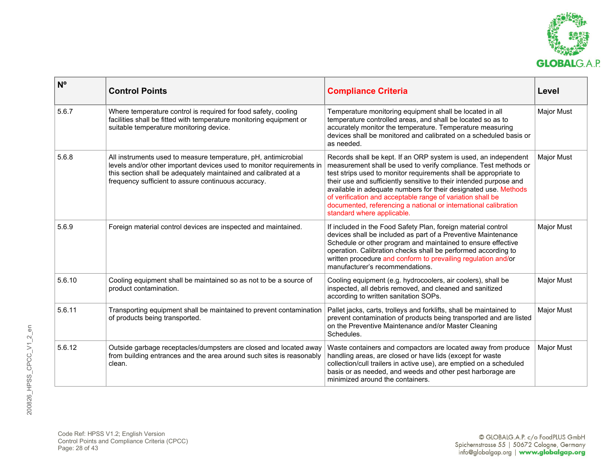

| $N^{\circ}$ | <b>Control Points</b>                                                                                                                                                                                                                                             | <b>Compliance Criteria</b>                                                                                                                                                                                                                                                                                                                                                                                                                                                                                     | Level             |
|-------------|-------------------------------------------------------------------------------------------------------------------------------------------------------------------------------------------------------------------------------------------------------------------|----------------------------------------------------------------------------------------------------------------------------------------------------------------------------------------------------------------------------------------------------------------------------------------------------------------------------------------------------------------------------------------------------------------------------------------------------------------------------------------------------------------|-------------------|
| 5.6.7       | Where temperature control is required for food safety, cooling<br>facilities shall be fitted with temperature monitoring equipment or<br>suitable temperature monitoring device.                                                                                  | Temperature monitoring equipment shall be located in all<br>temperature controlled areas, and shall be located so as to<br>accurately monitor the temperature. Temperature measuring<br>devices shall be monitored and calibrated on a scheduled basis or<br>as needed.                                                                                                                                                                                                                                        | Major Must        |
| 5.6.8       | All instruments used to measure temperature, pH, antimicrobial<br>levels and/or other important devices used to monitor requirements in<br>this section shall be adequately maintained and calibrated at a<br>frequency sufficient to assure continuous accuracy. | Records shall be kept. If an ORP system is used, an independent<br>measurement shall be used to verify compliance. Test methods or<br>test strips used to monitor requirements shall be appropriate to<br>their use and sufficiently sensitive to their intended purpose and<br>available in adequate numbers for their designated use. Methods<br>of verification and acceptable range of variation shall be<br>documented, referencing a national or international calibration<br>standard where applicable. | <b>Major Must</b> |
| 5.6.9       | Foreign material control devices are inspected and maintained.                                                                                                                                                                                                    | If included in the Food Safety Plan, foreign material control<br>devices shall be included as part of a Preventive Maintenance<br>Schedule or other program and maintained to ensure effective<br>operation. Calibration checks shall be performed according to<br>written procedure and conform to prevailing regulation and/or<br>manufacturer's recommendations.                                                                                                                                            | <b>Major Must</b> |
| 5.6.10      | Cooling equipment shall be maintained so as not to be a source of<br>product contamination.                                                                                                                                                                       | Cooling equipment (e.g. hydrocoolers, air coolers), shall be<br>inspected, all debris removed, and cleaned and sanitized<br>according to written sanitation SOPs.                                                                                                                                                                                                                                                                                                                                              | <b>Major Must</b> |
| 5.6.11      | Transporting equipment shall be maintained to prevent contamination<br>of products being transported.                                                                                                                                                             | Pallet jacks, carts, trolleys and forklifts, shall be maintained to<br>prevent contamination of products being transported and are listed<br>on the Preventive Maintenance and/or Master Cleaning<br>Schedules.                                                                                                                                                                                                                                                                                                | <b>Major Must</b> |
| 5.6.12      | Outside garbage receptacles/dumpsters are closed and located away<br>from building entrances and the area around such sites is reasonably<br>clean.                                                                                                               | Waste containers and compactors are located away from produce<br>handling areas, are closed or have lids (except for waste<br>collection/cull trailers in active use), are emptied on a scheduled<br>basis or as needed, and weeds and other pest harborage are<br>minimized around the containers.                                                                                                                                                                                                            | <b>Major Must</b> |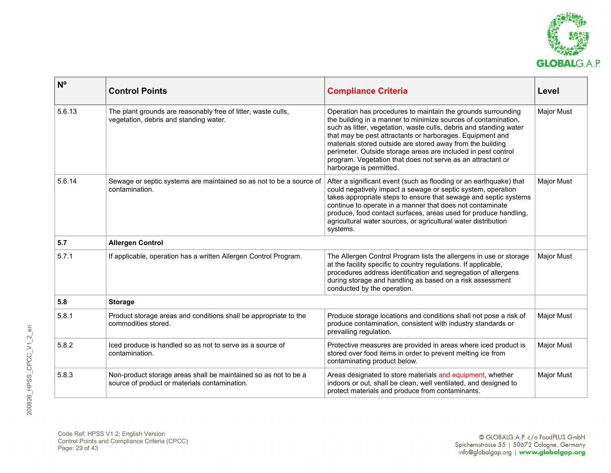

| $N^{\circ}$ | <b>Control Points</b>                                                                                            | <b>Compliance Criteria</b>                                                                                                                                                                                                                                                                                                                                                                                                                                                                 | Level             |
|-------------|------------------------------------------------------------------------------------------------------------------|--------------------------------------------------------------------------------------------------------------------------------------------------------------------------------------------------------------------------------------------------------------------------------------------------------------------------------------------------------------------------------------------------------------------------------------------------------------------------------------------|-------------------|
| 5.6.13      | The plant grounds are reasonably free of litter, waste culls,<br>vegetation, debris and standing water.          | Operation has procedures to maintain the grounds surrounding<br>the building in a manner to minimize sources of contamination,<br>such as litter, vegetation, waste culls, debris and standing water<br>that may be pest attractants or harborages. Equipment and<br>materials stored outside are stored away from the building<br>perimeter. Outside storage areas are included in pest control<br>program. Vegetation that does not serve as an attractant or<br>harborage is permitted. | <b>Major Must</b> |
| 5.6.14      | Sewage or septic systems are maintained so as not to be a source of<br>contamination.                            | After a significant event (such as flooding or an earthquake) that<br>could negatively impact a sewage or septic system, operation<br>takes appropriate steps to ensure that sewage and septic systems<br>continue to operate in a manner that does not contaminate<br>produce, food contact surfaces, areas used for produce handling,<br>agricultural water sources, or agricultural water distribution<br>systems.                                                                      | <b>Major Must</b> |
| 5.7         | <b>Allergen Control</b>                                                                                          |                                                                                                                                                                                                                                                                                                                                                                                                                                                                                            |                   |
| 5.7.1       | If applicable, operation has a written Allergen Control Program.                                                 | The Allergen Control Program lists the allergens in use or storage<br>at the facility specific to country regulations. If applicable,<br>procedures address identification and segregation of allergens<br>during storage and handling as based on a risk assessment<br>conducted by the operation.                                                                                                                                                                                        | Major Must        |
| 5.8         | <b>Storage</b>                                                                                                   |                                                                                                                                                                                                                                                                                                                                                                                                                                                                                            |                   |
| 5.8.1       | Product storage areas and conditions shall be appropriate to the<br>commodities stored.                          | Produce storage locations and conditions shall not pose a risk of<br>produce contamination, consistent with industry standards or<br>prevailing regulation.                                                                                                                                                                                                                                                                                                                                | <b>Major Must</b> |
| 5.8.2       | lced produce is handled so as not to serve as a source of<br>contamination.                                      | Protective measures are provided in areas where iced product is<br>stored over food items in order to prevent melting ice from<br>contaminating product below.                                                                                                                                                                                                                                                                                                                             | Major Must        |
| 5.8.3       | Non-product storage areas shall be maintained so as not to be a<br>source of product or materials contamination. | Areas designated to store materials and equipment, whether<br>indoors or out, shall be clean, well ventilated, and designed to<br>protect materials and produce from contaminants.                                                                                                                                                                                                                                                                                                         | <b>Major Must</b> |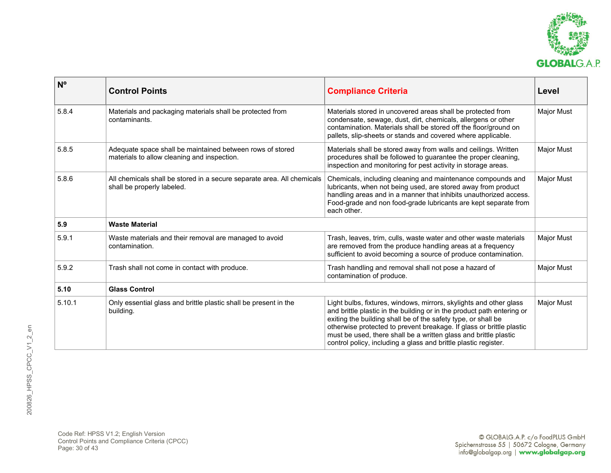

| N <sup>o</sup> | <b>Control Points</b>                                                                                    | <b>Compliance Criteria</b>                                                                                                                                                                                                                                                                                                                                                                                                   | Level             |
|----------------|----------------------------------------------------------------------------------------------------------|------------------------------------------------------------------------------------------------------------------------------------------------------------------------------------------------------------------------------------------------------------------------------------------------------------------------------------------------------------------------------------------------------------------------------|-------------------|
| 5.8.4          | Materials and packaging materials shall be protected from<br>contaminants.                               | Materials stored in uncovered areas shall be protected from<br>condensate, sewage, dust, dirt, chemicals, allergens or other<br>contamination. Materials shall be stored off the floor/ground on<br>pallets, slip-sheets or stands and covered where applicable.                                                                                                                                                             | Major Must        |
| 5.8.5          | Adequate space shall be maintained between rows of stored<br>materials to allow cleaning and inspection. | Materials shall be stored away from walls and ceilings. Written<br>procedures shall be followed to guarantee the proper cleaning,<br>inspection and monitoring for pest activity in storage areas.                                                                                                                                                                                                                           | <b>Major Must</b> |
| 5.8.6          | All chemicals shall be stored in a secure separate area. All chemicals<br>shall be properly labeled.     | Chemicals, including cleaning and maintenance compounds and<br>lubricants, when not being used, are stored away from product<br>handling areas and in a manner that inhibits unauthorized access.<br>Food-grade and non food-grade lubricants are kept separate from<br>each other.                                                                                                                                          | Major Must        |
| 5.9            | <b>Waste Material</b>                                                                                    |                                                                                                                                                                                                                                                                                                                                                                                                                              |                   |
| 5.9.1          | Waste materials and their removal are managed to avoid<br>contamination.                                 | Trash, leaves, trim, culls, waste water and other waste materials<br>are removed from the produce handling areas at a frequency<br>sufficient to avoid becoming a source of produce contamination.                                                                                                                                                                                                                           | Major Must        |
| 5.9.2          | Trash shall not come in contact with produce.                                                            | Trash handling and removal shall not pose a hazard of<br>contamination of produce.                                                                                                                                                                                                                                                                                                                                           | <b>Major Must</b> |
| 5.10           | <b>Glass Control</b>                                                                                     |                                                                                                                                                                                                                                                                                                                                                                                                                              |                   |
| 5.10.1         | Only essential glass and brittle plastic shall be present in the<br>building.                            | Light bulbs, fixtures, windows, mirrors, skylights and other glass<br>and brittle plastic in the building or in the product path entering or<br>exiting the building shall be of the safety type, or shall be<br>otherwise protected to prevent breakage. If glass or brittle plastic<br>must be used, there shall be a written glass and brittle plastic<br>control policy, including a glass and brittle plastic register. | Major Must        |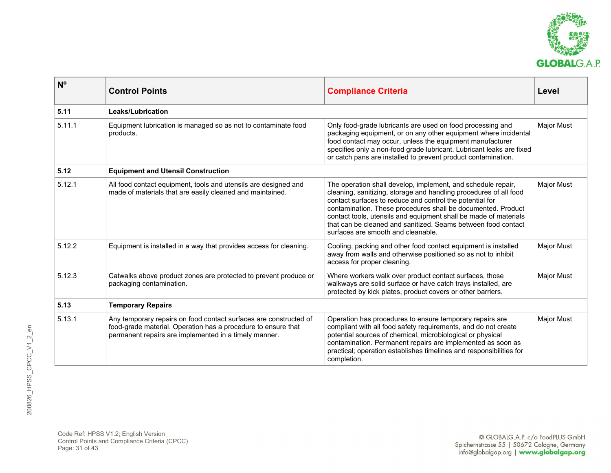

| $N^{\circ}$ | <b>Control Points</b>                                                                                                                                                                       | <b>Compliance Criteria</b>                                                                                                                                                                                                                                                                                                                                                                                                               | Level      |
|-------------|---------------------------------------------------------------------------------------------------------------------------------------------------------------------------------------------|------------------------------------------------------------------------------------------------------------------------------------------------------------------------------------------------------------------------------------------------------------------------------------------------------------------------------------------------------------------------------------------------------------------------------------------|------------|
| 5.11        | Leaks/Lubrication                                                                                                                                                                           |                                                                                                                                                                                                                                                                                                                                                                                                                                          |            |
| 5.11.1      | Equipment lubrication is managed so as not to contaminate food<br>products.                                                                                                                 | Only food-grade lubricants are used on food processing and<br>packaging equipment, or on any other equipment where incidental<br>food contact may occur, unless the equipment manufacturer<br>specifies only a non-food grade lubricant. Lubricant leaks are fixed<br>or catch pans are installed to prevent product contamination.                                                                                                      | Major Must |
| 5.12        | <b>Equipment and Utensil Construction</b>                                                                                                                                                   |                                                                                                                                                                                                                                                                                                                                                                                                                                          |            |
| 5.12.1      | All food contact equipment, tools and utensils are designed and<br>made of materials that are easily cleaned and maintained.                                                                | The operation shall develop, implement, and schedule repair,<br>cleaning, sanitizing, storage and handling procedures of all food<br>contact surfaces to reduce and control the potential for<br>contamination. These procedures shall be documented. Product<br>contact tools, utensils and equipment shall be made of materials<br>that can be cleaned and sanitized. Seams between food contact<br>surfaces are smooth and cleanable. | Major Must |
| 5.12.2      | Equipment is installed in a way that provides access for cleaning.                                                                                                                          | Cooling, packing and other food contact equipment is installed<br>away from walls and otherwise positioned so as not to inhibit<br>access for proper cleaning.                                                                                                                                                                                                                                                                           | Major Must |
| 5.12.3      | Catwalks above product zones are protected to prevent produce or<br>packaging contamination.                                                                                                | Where workers walk over product contact surfaces, those<br>walkways are solid surface or have catch trays installed, are<br>protected by kick plates, product covers or other barriers.                                                                                                                                                                                                                                                  | Major Must |
| 5.13        | <b>Temporary Repairs</b>                                                                                                                                                                    |                                                                                                                                                                                                                                                                                                                                                                                                                                          |            |
| 5.13.1      | Any temporary repairs on food contact surfaces are constructed of<br>food-grade material. Operation has a procedure to ensure that<br>permanent repairs are implemented in a timely manner. | Operation has procedures to ensure temporary repairs are<br>compliant with all food safety requirements, and do not create<br>potential sources of chemical, microbiological or physical<br>contamination. Permanent repairs are implemented as soon as<br>practical; operation establishes timelines and responsibilities for<br>completion.                                                                                            | Major Must |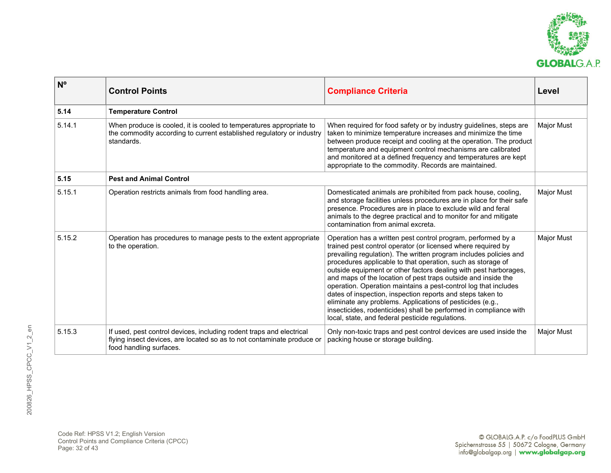

| N <sup>o</sup> | <b>Control Points</b>                                                                                                                                                     | <b>Compliance Criteria</b>                                                                                                                                                                                                                                                                                                                                                                                                                                                                                                                                                                                                                                                                                                   | Level             |
|----------------|---------------------------------------------------------------------------------------------------------------------------------------------------------------------------|------------------------------------------------------------------------------------------------------------------------------------------------------------------------------------------------------------------------------------------------------------------------------------------------------------------------------------------------------------------------------------------------------------------------------------------------------------------------------------------------------------------------------------------------------------------------------------------------------------------------------------------------------------------------------------------------------------------------------|-------------------|
| 5.14           | <b>Temperature Control</b>                                                                                                                                                |                                                                                                                                                                                                                                                                                                                                                                                                                                                                                                                                                                                                                                                                                                                              |                   |
| 5.14.1         | When produce is cooled, it is cooled to temperatures appropriate to<br>the commodity according to current established regulatory or industry<br>standards.                | When required for food safety or by industry guidelines, steps are<br>taken to minimize temperature increases and minimize the time<br>between produce receipt and cooling at the operation. The product<br>temperature and equipment control mechanisms are calibrated<br>and monitored at a defined frequency and temperatures are kept<br>appropriate to the commodity. Records are maintained.                                                                                                                                                                                                                                                                                                                           | Major Must        |
| 5.15           | <b>Pest and Animal Control</b>                                                                                                                                            |                                                                                                                                                                                                                                                                                                                                                                                                                                                                                                                                                                                                                                                                                                                              |                   |
| 5.15.1         | Operation restricts animals from food handling area.                                                                                                                      | Domesticated animals are prohibited from pack house, cooling,<br>and storage facilities unless procedures are in place for their safe<br>presence. Procedures are in place to exclude wild and feral<br>animals to the degree practical and to monitor for and mitigate<br>contamination from animal excreta.                                                                                                                                                                                                                                                                                                                                                                                                                | <b>Major Must</b> |
| 5.15.2         | Operation has procedures to manage pests to the extent appropriate<br>to the operation.                                                                                   | Operation has a written pest control program, performed by a<br>trained pest control operator (or licensed where required by<br>prevailing regulation). The written program includes policies and<br>procedures applicable to that operation, such as storage of<br>outside equipment or other factors dealing with pest harborages,<br>and maps of the location of pest traps outside and inside the<br>operation. Operation maintains a pest-control log that includes<br>dates of inspection, inspection reports and steps taken to<br>eliminate any problems. Applications of pesticides (e.g.,<br>insecticides, rodenticides) shall be performed in compliance with<br>local, state, and federal pesticide regulations. | <b>Major Must</b> |
| 5.15.3         | If used, pest control devices, including rodent traps and electrical<br>flying insect devices, are located so as to not contaminate produce or<br>food handling surfaces. | Only non-toxic traps and pest control devices are used inside the<br>packing house or storage building.                                                                                                                                                                                                                                                                                                                                                                                                                                                                                                                                                                                                                      | <b>Major Must</b> |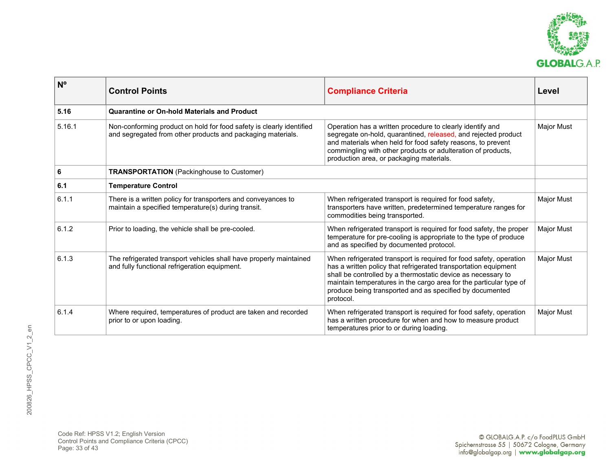

| N <sup>o</sup> | <b>Control Points</b>                                                                                                               | <b>Compliance Criteria</b>                                                                                                                                                                                                                                                                                                                           | Level             |
|----------------|-------------------------------------------------------------------------------------------------------------------------------------|------------------------------------------------------------------------------------------------------------------------------------------------------------------------------------------------------------------------------------------------------------------------------------------------------------------------------------------------------|-------------------|
| 5.16           | Quarantine or On-hold Materials and Product                                                                                         |                                                                                                                                                                                                                                                                                                                                                      |                   |
| 5.16.1         | Non-conforming product on hold for food safety is clearly identified<br>and segregated from other products and packaging materials. | Operation has a written procedure to clearly identify and<br>segregate on-hold, quarantined, released, and rejected product<br>and materials when held for food safety reasons, to prevent<br>commingling with other products or adulteration of products,<br>production area, or packaging materials.                                               | Major Must        |
| 6              | <b>TRANSPORTATION</b> (Packinghouse to Customer)                                                                                    |                                                                                                                                                                                                                                                                                                                                                      |                   |
| 6.1            | <b>Temperature Control</b>                                                                                                          |                                                                                                                                                                                                                                                                                                                                                      |                   |
| 6.1.1          | There is a written policy for transporters and conveyances to<br>maintain a specified temperature(s) during transit.                | When refrigerated transport is required for food safety,<br>transporters have written, predetermined temperature ranges for<br>commodities being transported.                                                                                                                                                                                        | <b>Major Must</b> |
| 6.1.2          | Prior to loading, the vehicle shall be pre-cooled.                                                                                  | When refrigerated transport is required for food safety, the proper<br>temperature for pre-cooling is appropriate to the type of produce<br>and as specified by documented protocol.                                                                                                                                                                 | <b>Major Must</b> |
| 6.1.3          | The refrigerated transport vehicles shall have properly maintained<br>and fully functional refrigeration equipment.                 | When refrigerated transport is required for food safety, operation<br>has a written policy that refrigerated transportation equipment<br>shall be controlled by a thermostatic device as necessary to<br>maintain temperatures in the cargo area for the particular type of<br>produce being transported and as specified by documented<br>protocol. | <b>Major Must</b> |
| 6.1.4          | Where required, temperatures of product are taken and recorded<br>prior to or upon loading.                                         | When refrigerated transport is required for food safety, operation<br>has a written procedure for when and how to measure product<br>temperatures prior to or during loading.                                                                                                                                                                        | Major Must        |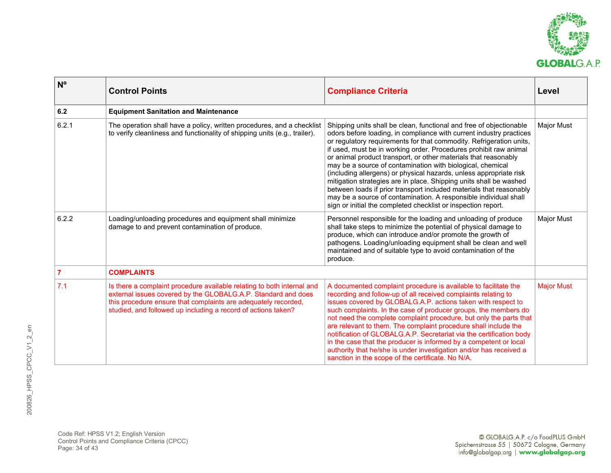

| $N^{\circ}$    | <b>Control Points</b>                                                                                                                                                                                                                                                      | <b>Compliance Criteria</b>                                                                                                                                                                                                                                                                                                                                                                                                                                                                                                                                                                                                                                                                                                                                                      | Level             |
|----------------|----------------------------------------------------------------------------------------------------------------------------------------------------------------------------------------------------------------------------------------------------------------------------|---------------------------------------------------------------------------------------------------------------------------------------------------------------------------------------------------------------------------------------------------------------------------------------------------------------------------------------------------------------------------------------------------------------------------------------------------------------------------------------------------------------------------------------------------------------------------------------------------------------------------------------------------------------------------------------------------------------------------------------------------------------------------------|-------------------|
| 6.2            | <b>Equipment Sanitation and Maintenance</b>                                                                                                                                                                                                                                |                                                                                                                                                                                                                                                                                                                                                                                                                                                                                                                                                                                                                                                                                                                                                                                 |                   |
| 6.2.1          | The operation shall have a policy, written procedures, and a checklist<br>to verify cleanliness and functionality of shipping units (e.g., trailer).                                                                                                                       | Shipping units shall be clean, functional and free of objectionable<br>odors before loading, in compliance with current industry practices<br>or regulatory requirements for that commodity. Refrigeration units,<br>if used, must be in working order. Procedures prohibit raw animal<br>or animal product transport, or other materials that reasonably<br>may be a source of contamination with biological, chemical<br>(including allergens) or physical hazards, unless appropriate risk<br>mitigation strategies are in place. Shipping units shall be washed<br>between loads if prior transport included materials that reasonably<br>may be a source of contamination. A responsible individual shall<br>sign or initial the completed checklist or inspection report. | <b>Major Must</b> |
| 6.2.2          | Loading/unloading procedures and equipment shall minimize<br>damage to and prevent contamination of produce.                                                                                                                                                               | Personnel responsible for the loading and unloading of produce<br>shall take steps to minimize the potential of physical damage to<br>produce, which can introduce and/or promote the growth of<br>pathogens. Loading/unloading equipment shall be clean and well<br>maintained and of suitable type to avoid contamination of the<br>produce.                                                                                                                                                                                                                                                                                                                                                                                                                                  | <b>Major Must</b> |
| $\overline{7}$ | <b>COMPLAINTS</b>                                                                                                                                                                                                                                                          |                                                                                                                                                                                                                                                                                                                                                                                                                                                                                                                                                                                                                                                                                                                                                                                 |                   |
| 7.1            | Is there a complaint procedure available relating to both internal and<br>external issues covered by the GLOBALG.A.P. Standard and does<br>this procedure ensure that complaints are adequately recorded,<br>studied, and followed up including a record of actions taken? | A documented complaint procedure is available to facilitate the<br>recording and follow-up of all received complaints relating to<br>issues covered by GLOBALG.A.P. actions taken with respect to<br>such complaints. In the case of producer groups, the members do<br>not need the complete complaint procedure, but only the parts that<br>are relevant to them. The complaint procedure shall include the<br>notification of GLOBALG.A.P. Secretariat via the certification body<br>in the case that the producer is informed by a competent or local<br>authority that he/she is under investigation and/or has received a<br>sanction in the scope of the certificate. No N/A.                                                                                            | <b>Major Must</b> |

Code Ref: HPSS V1.2; English Version Control Points and Compliance Criteria (CPCC) Page: 34 of 43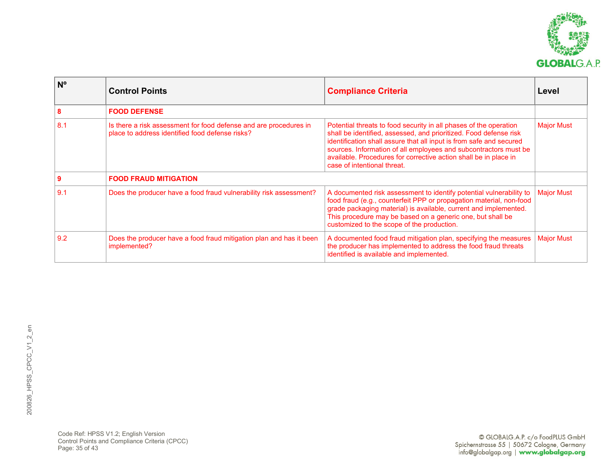

| N <sup>o</sup> | <b>Control Points</b>                                                                                                | <b>Compliance Criteria</b>                                                                                                                                                                                                                                                                                                                                                           | Level             |
|----------------|----------------------------------------------------------------------------------------------------------------------|--------------------------------------------------------------------------------------------------------------------------------------------------------------------------------------------------------------------------------------------------------------------------------------------------------------------------------------------------------------------------------------|-------------------|
|                | <b>FOOD DEFENSE</b>                                                                                                  |                                                                                                                                                                                                                                                                                                                                                                                      |                   |
| 8.1            | Is there a risk assessment for food defense and are procedures in<br>place to address identified food defense risks? | Potential threats to food security in all phases of the operation<br>shall be identified, assessed, and prioritized. Food defense risk<br>identification shall assure that all input is from safe and secured<br>sources. Information of all employees and subcontractors must be<br>available. Procedures for corrective action shall be in place in<br>case of intentional threat. | <b>Major Must</b> |
|                | <b>FOOD FRAUD MITIGATION</b>                                                                                         |                                                                                                                                                                                                                                                                                                                                                                                      |                   |
| 9.1            | Does the producer have a food fraud vulnerability risk assessment?                                                   | A documented risk assessment to identify potential vulnerability to<br>food fraud (e.g., counterfeit PPP or propagation material, non-food<br>grade packaging material) is available, current and implemented.<br>This procedure may be based on a generic one, but shall be<br>customized to the scope of the production.                                                           | <b>Major Must</b> |
| 9.2            | Does the producer have a food fraud mitigation plan and has it been<br>implemented?                                  | A documented food fraud mitigation plan, specifying the measures<br>the producer has implemented to address the food fraud threats<br>identified is available and implemented.                                                                                                                                                                                                       | <b>Major Must</b> |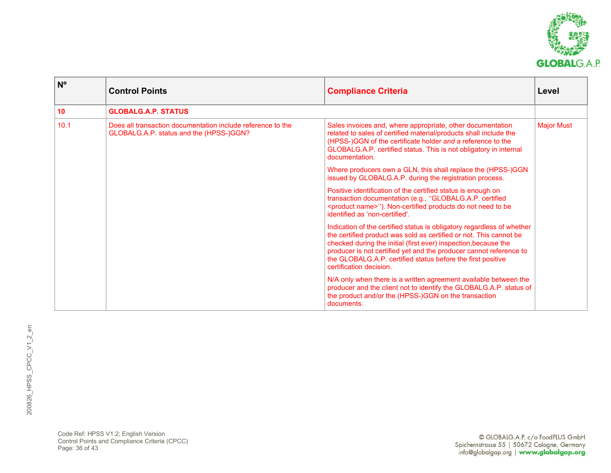

| $N^{\circ}$ | <b>Control Points</b>                                                                                  | <b>Compliance Criteria</b>                                                                                                                                                                                                                                                                                                                                                      | Level             |
|-------------|--------------------------------------------------------------------------------------------------------|---------------------------------------------------------------------------------------------------------------------------------------------------------------------------------------------------------------------------------------------------------------------------------------------------------------------------------------------------------------------------------|-------------------|
| 10          | <b>GLOBALG.A.P. STATUS</b>                                                                             |                                                                                                                                                                                                                                                                                                                                                                                 |                   |
| 10.1        | Does all transaction documentation include reference to the<br>GLOBALG.A.P. status and the (HPSS-)GGN? | Sales invoices and, where appropriate, other documentation<br>related to sales of certified material/products shall include the<br>(HPSS-)GGN of the certificate holder and a reference to the<br>GLOBALG.A.P. certified status. This is not obligatory in internal<br>documentation.                                                                                           | <b>Major Must</b> |
|             |                                                                                                        | Where producers own a GLN, this shall replace the (HPSS-)GGN<br>issued by GLOBALG.A.P. during the registration process.                                                                                                                                                                                                                                                         |                   |
|             |                                                                                                        | Positive identification of the certified status is enough on<br>transaction documentation (e.g., "GLOBALG.A.P. certified<br><product name="">"). Non-certified products do not need to be<br/>identified as 'non-certified'.</product>                                                                                                                                          |                   |
|             |                                                                                                        | Indication of the certified status is obligatory regardless of whether<br>the certified product was sold as certified or not. This cannot be<br>checked during the initial (first ever) inspection, because the<br>producer is not certified yet and the producer cannot reference to<br>the GLOBALG.A.P. certified status before the first positive<br>certification decision. |                   |
|             |                                                                                                        | N/A only when there is a written agreement available between the<br>producer and the client not to identify the GLOBALG.A.P. status of<br>the product and/or the (HPSS-)GGN on the transaction<br>documents.                                                                                                                                                                    |                   |

Code Ref: HPSS V1.2; English Version Control Points and Compliance Criteria (CPCC) Page: 36 of 43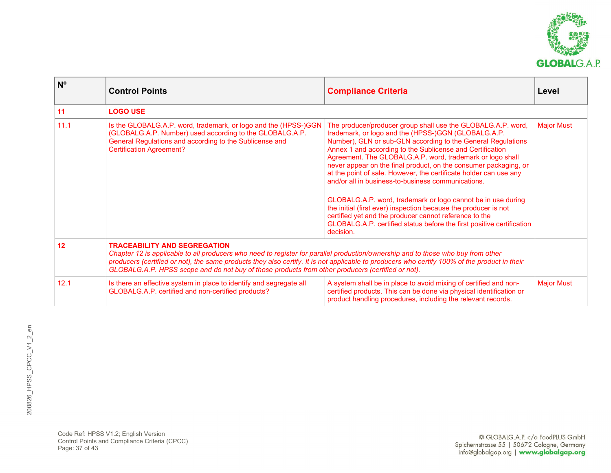

| N <sup>o</sup> | <b>Control Points</b>                                                                                                                                                                                                                                                                                                                                                                                                         | <b>Compliance Criteria</b>                                                                                                                                                                                                                                                                                                                                                                                                                                                                                                                                                                                                                                                                                                                                                                      | Level             |
|----------------|-------------------------------------------------------------------------------------------------------------------------------------------------------------------------------------------------------------------------------------------------------------------------------------------------------------------------------------------------------------------------------------------------------------------------------|-------------------------------------------------------------------------------------------------------------------------------------------------------------------------------------------------------------------------------------------------------------------------------------------------------------------------------------------------------------------------------------------------------------------------------------------------------------------------------------------------------------------------------------------------------------------------------------------------------------------------------------------------------------------------------------------------------------------------------------------------------------------------------------------------|-------------------|
| 11             | <b>LOGO USE</b>                                                                                                                                                                                                                                                                                                                                                                                                               |                                                                                                                                                                                                                                                                                                                                                                                                                                                                                                                                                                                                                                                                                                                                                                                                 |                   |
| 11.1           | Is the GLOBALG.A.P. word, trademark, or logo and the (HPSS-)GGN<br>(GLOBALG.A.P. Number) used according to the GLOBALG.A.P.<br>General Regulations and according to the Sublicense and<br><b>Certification Agreement?</b>                                                                                                                                                                                                     | The producer/producer group shall use the GLOBALG.A.P. word,<br>trademark, or logo and the (HPSS-)GGN (GLOBALG.A.P.<br>Number), GLN or sub-GLN according to the General Regulations<br>Annex 1 and according to the Sublicense and Certification<br>Agreement. The GLOBALG.A.P. word, trademark or logo shall<br>never appear on the final product, on the consumer packaging, or<br>at the point of sale. However, the certificate holder can use any<br>and/or all in business-to-business communications.<br>GLOBALG.A.P. word, trademark or logo cannot be in use during<br>the initial (first ever) inspection because the producer is not<br>certified yet and the producer cannot reference to the<br>GLOBALG.A.P. certified status before the first positive certification<br>decision. | <b>Major Must</b> |
| 12             | <b>TRACEABILITY AND SEGREGATION</b><br>Chapter 12 is applicable to all producers who need to register for parallel production/ownership and to those who buy from other<br>producers (certified or not), the same products they also certify. It is not applicable to producers who certify 100% of the product in their<br>GLOBALG.A.P. HPSS scope and do not buy of those products from other producers (certified or not). |                                                                                                                                                                                                                                                                                                                                                                                                                                                                                                                                                                                                                                                                                                                                                                                                 |                   |
| 12.1           | Is there an effective system in place to identify and segregate all<br>GLOBALG.A.P. certified and non-certified products?                                                                                                                                                                                                                                                                                                     | A system shall be in place to avoid mixing of certified and non-<br>certified products. This can be done via physical identification or<br>product handling procedures, including the relevant records.                                                                                                                                                                                                                                                                                                                                                                                                                                                                                                                                                                                         | <b>Major Must</b> |

Code Ref: HPSS V1.2; English Version Control Points and Compliance Criteria (CPCC) Page: 37 of 43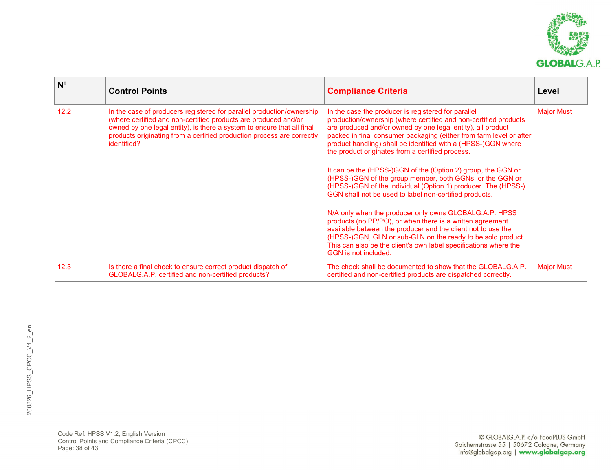

| $N^{\circ}$ | <b>Control Points</b>                                                                                                                                                                                                                                                                                       | <b>Compliance Criteria</b>                                                                                                                                                                                                                                                                                                                                                                                                                                                                                                                                                                                                                                                                                                                                                                                                                                                                                                                                                                  | Level             |
|-------------|-------------------------------------------------------------------------------------------------------------------------------------------------------------------------------------------------------------------------------------------------------------------------------------------------------------|---------------------------------------------------------------------------------------------------------------------------------------------------------------------------------------------------------------------------------------------------------------------------------------------------------------------------------------------------------------------------------------------------------------------------------------------------------------------------------------------------------------------------------------------------------------------------------------------------------------------------------------------------------------------------------------------------------------------------------------------------------------------------------------------------------------------------------------------------------------------------------------------------------------------------------------------------------------------------------------------|-------------------|
| 12.2        | In the case of producers registered for parallel production/ownership<br>(where certified and non-certified products are produced and/or<br>owned by one legal entity), is there a system to ensure that all final<br>products originating from a certified production process are correctly<br>identified? | In the case the producer is registered for parallel<br>production/ownership (where certified and non-certified products<br>are produced and/or owned by one legal entity), all product<br>packed in final consumer packaging (either from farm level or after<br>product handling) shall be identified with a (HPSS-)GGN where<br>the product originates from a certified process.<br>It can be the (HPSS-)GGN of the (Option 2) group, the GGN or<br>(HPSS-)GGN of the group member, both GGNs, or the GGN or<br>(HPSS-)GGN of the individual (Option 1) producer. The (HPSS-)<br>GGN shall not be used to label non-certified products.<br>N/A only when the producer only owns GLOBALG.A.P. HPSS<br>products (no PP/PO), or when there is a written agreement<br>available between the producer and the client not to use the<br>(HPSS-)GGN, GLN or sub-GLN on the ready to be sold product.<br>This can also be the client's own label specifications where the<br>GGN is not included. | <b>Major Must</b> |
| 12.3        | Is there a final check to ensure correct product dispatch of<br>GLOBALG.A.P. certified and non-certified products?                                                                                                                                                                                          | The check shall be documented to show that the GLOBALG.A.P.<br>certified and non-certified products are dispatched correctly.                                                                                                                                                                                                                                                                                                                                                                                                                                                                                                                                                                                                                                                                                                                                                                                                                                                               | <b>Major Must</b> |

Code Ref: HPSS V1.2; English Version Control Points and Compliance Criteria (CPCC) Page: 38 of 43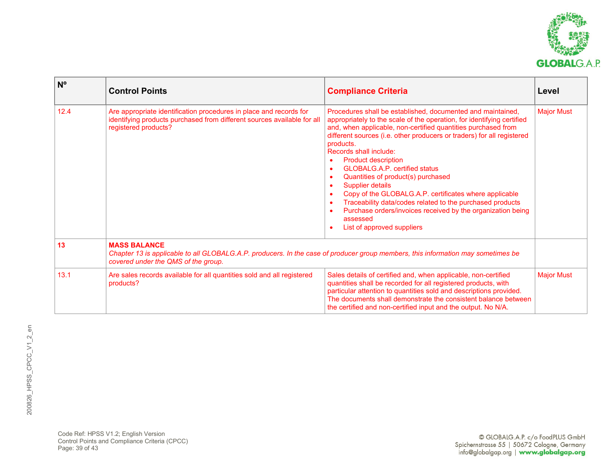

| $N^{\circ}$ | <b>Control Points</b>                                                                                                                                                                          | <b>Compliance Criteria</b>                                                                                                                                                                                                                                                                                                                                                                                                                                                                                                                                                                                                                                                                                                                                           | Level             |
|-------------|------------------------------------------------------------------------------------------------------------------------------------------------------------------------------------------------|----------------------------------------------------------------------------------------------------------------------------------------------------------------------------------------------------------------------------------------------------------------------------------------------------------------------------------------------------------------------------------------------------------------------------------------------------------------------------------------------------------------------------------------------------------------------------------------------------------------------------------------------------------------------------------------------------------------------------------------------------------------------|-------------------|
| 12.4        | Are appropriate identification procedures in place and records for<br>identifying products purchased from different sources available for all<br>registered products?                          | Procedures shall be established, documented and maintained,<br>appropriately to the scale of the operation, for identifying certified<br>and, when applicable, non-certified quantities purchased from<br>different sources (i.e. other producers or traders) for all registered<br>products.<br>Records shall include:<br><b>Product description</b><br>$\bullet$<br><b>GLOBALG.A.P. certified status</b><br>$\bullet$<br>Quantities of product(s) purchased<br>$\bullet$<br><b>Supplier details</b><br>$\bullet$<br>Copy of the GLOBALG.A.P. certificates where applicable<br>Traceability data/codes related to the purchased products<br>$\bullet$<br>Purchase orders/invoices received by the organization being<br>٠<br>assessed<br>List of approved suppliers | <b>Major Must</b> |
| 13          | <b>MASS BALANCE</b><br>Chapter 13 is applicable to all GLOBALG.A.P. producers. In the case of producer group members, this information may sometimes be<br>covered under the QMS of the group. |                                                                                                                                                                                                                                                                                                                                                                                                                                                                                                                                                                                                                                                                                                                                                                      |                   |
| 13.1        | Are sales records available for all quantities sold and all registered<br>products?                                                                                                            | Sales details of certified and, when applicable, non-certified<br>quantities shall be recorded for all registered products, with<br>particular attention to quantities sold and descriptions provided.<br>The documents shall demonstrate the consistent balance between<br>the certified and non-certified input and the output. No N/A.                                                                                                                                                                                                                                                                                                                                                                                                                            | <b>Major Must</b> |

Code Ref: HPSS V1.2; English Version Control Points and Compliance Criteria (CPCC) Page: 39 of 43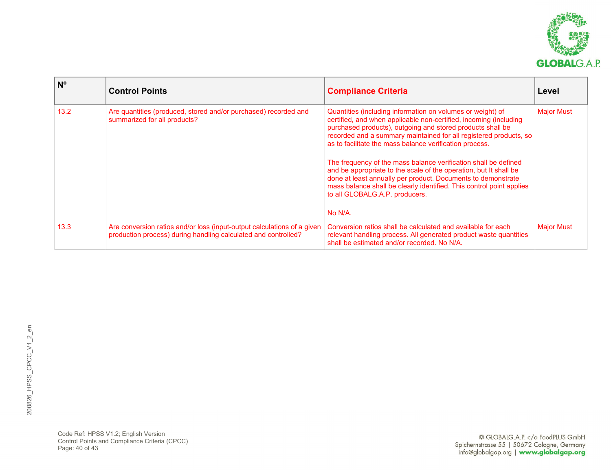

| $N^{\circ}$ | <b>Control Points</b>                                                                                                                     | <b>Compliance Criteria</b>                                                                                                                                                                                                                                                                                                                                                                                                                                                                                                                                                                                                                                 | Level             |
|-------------|-------------------------------------------------------------------------------------------------------------------------------------------|------------------------------------------------------------------------------------------------------------------------------------------------------------------------------------------------------------------------------------------------------------------------------------------------------------------------------------------------------------------------------------------------------------------------------------------------------------------------------------------------------------------------------------------------------------------------------------------------------------------------------------------------------------|-------------------|
| 13.2        | Are quantities (produced, stored and/or purchased) recorded and<br>summarized for all products?                                           | Quantities (including information on volumes or weight) of<br>certified, and when applicable non-certified, incoming (including<br>purchased products), outgoing and stored products shall be<br>recorded and a summary maintained for all registered products, so<br>as to facilitate the mass balance verification process.<br>The frequency of the mass balance verification shall be defined<br>and be appropriate to the scale of the operation, but It shall be<br>done at least annually per product. Documents to demonstrate<br>mass balance shall be clearly identified. This control point applies<br>to all GLOBALG.A.P. producers.<br>No N/A. | <b>Major Must</b> |
| 13.3        | Are conversion ratios and/or loss (input-output calculations of a given<br>production process) during handling calculated and controlled? | Conversion ratios shall be calculated and available for each<br>relevant handling process. All generated product waste quantities<br>shall be estimated and/or recorded. No N/A.                                                                                                                                                                                                                                                                                                                                                                                                                                                                           | <b>Major Must</b> |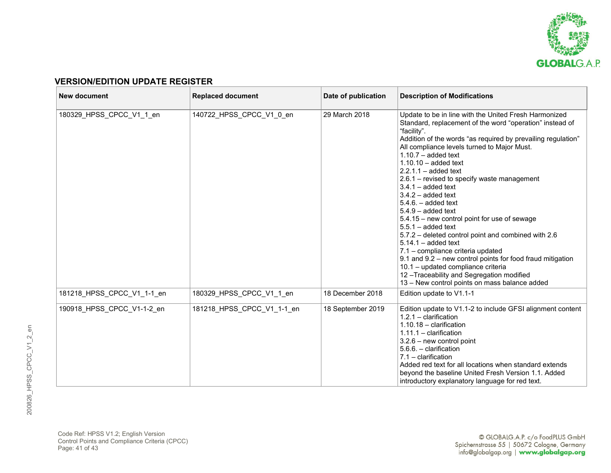

## **VERSION/EDITION UPDATE REGISTER**

| <b>New document</b>        | <b>Replaced document</b>   | Date of publication | <b>Description of Modifications</b>                                                                                                                                                                                                                                                                                                                                                                                                                                                                                                                                                                                                                                                                                                                                                                                                                                        |
|----------------------------|----------------------------|---------------------|----------------------------------------------------------------------------------------------------------------------------------------------------------------------------------------------------------------------------------------------------------------------------------------------------------------------------------------------------------------------------------------------------------------------------------------------------------------------------------------------------------------------------------------------------------------------------------------------------------------------------------------------------------------------------------------------------------------------------------------------------------------------------------------------------------------------------------------------------------------------------|
| 180329_HPSS_CPCC_V1_1_en   | 140722_HPSS_CPCC_V1_0_en   | 29 March 2018       | Update to be in line with the United Fresh Harmonized<br>Standard, replacement of the word "operation" instead of<br>"facility".<br>Addition of the words "as required by prevailing regulation"<br>All compliance levels turned to Major Must.<br>$1.10.7 - added$ text<br>$1.10.10 - added text$<br>$2.2.1.1 - added text$<br>2.6.1 - revised to specify waste management<br>$3.4.1 - added text$<br>$3.4.2 - added text$<br>$5.4.6. - added text$<br>$5.4.9 - added text$<br>5.4.15 - new control point for use of sewage<br>$5.5.1 - added text$<br>5.7.2 - deleted control point and combined with 2.6<br>$5.14.1 - added text$<br>7.1 - compliance criteria updated<br>9.1 and 9.2 - new control points for food fraud mitigation<br>10.1 - updated compliance criteria<br>12-Traceability and Segregation modified<br>13 – New control points on mass balance added |
| 181218 HPSS CPCC V1 1-1 en | 180329_HPSS_CPCC_V1_1_en   | 18 December 2018    | Edition update to V1.1-1                                                                                                                                                                                                                                                                                                                                                                                                                                                                                                                                                                                                                                                                                                                                                                                                                                                   |
| 190918 HPSS CPCC V1-1-2 en | 181218 HPSS CPCC V1 1-1 en | 18 September 2019   | Edition update to V1.1-2 to include GFSI alignment content<br>$1.2.1 -$ clarification<br>$1.10.18 -$ clarification<br>$1.11.1 -$ clarification<br>$3.2.6$ – new control point<br>$5.6.6. -$ clarification<br>$7.1 -$ clarification<br>Added red text for all locations when standard extends<br>beyond the baseline United Fresh Version 1.1. Added<br>introductory explanatory language for red text.                                                                                                                                                                                                                                                                                                                                                                                                                                                                     |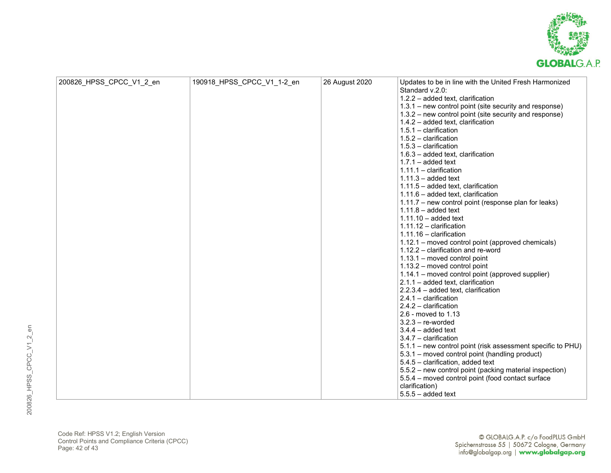

| 200826_HPSS_CPCC_V1_2_en | 190918_HPSS_CPCC_V1_1-2_en | 26 August 2020 | Updates to be in line with the United Fresh Harmonized      |
|--------------------------|----------------------------|----------------|-------------------------------------------------------------|
|                          |                            |                | Standard v.2.0:                                             |
|                          |                            |                | 1.2.2 - added text, clarification                           |
|                          |                            |                | 1.3.1 – new control point (site security and response)      |
|                          |                            |                | 1.3.2 – new control point (site security and response)      |
|                          |                            |                | 1.4.2 - added text, clarification                           |
|                          |                            |                | $1.5.1 -$ clarification                                     |
|                          |                            |                | $1.5.2 -$ clarification                                     |
|                          |                            |                | $1.5.3 -$ clarification                                     |
|                          |                            |                | $1.6.3$ – added text, clarification                         |
|                          |                            |                | $1.7.1 - added text$                                        |
|                          |                            |                | $1.11.1 -$ clarification                                    |
|                          |                            |                | $1.11.3 - added text$                                       |
|                          |                            |                | $1.11.5 - added text$ , clarification                       |
|                          |                            |                | 1.11.6 - added text, clarification                          |
|                          |                            |                | 1.11.7 - new control point (response plan for leaks)        |
|                          |                            |                | $1.11.8 - added text$                                       |
|                          |                            |                | $1.11.10 - added text$                                      |
|                          |                            |                | $1.11.12 -$ clarification                                   |
|                          |                            |                | $1.11.16 -$ clarification                                   |
|                          |                            |                | 1.12.1 – moved control point (approved chemicals)           |
|                          |                            |                | 1.12.2 - clarification and re-word                          |
|                          |                            |                | 1.13.1 - moved control point                                |
|                          |                            |                | 1.13.2 - moved control point                                |
|                          |                            |                | 1.14.1 – moved control point (approved supplier)            |
|                          |                            |                | $2.1.1 - added text$ , clarification                        |
|                          |                            |                | 2.2.3.4 - added text, clarification                         |
|                          |                            |                | $2.4.1 -$ clarification                                     |
|                          |                            |                | $2.4.2 -$ clarification                                     |
|                          |                            |                | 2.6 - moved to 1.13                                         |
|                          |                            |                | $3.2.3 - re-worded$                                         |
|                          |                            |                | $3.4.4 - added text$                                        |
|                          |                            |                | $3.4.7 -$ clarification                                     |
|                          |                            |                | 5.1.1 - new control point (risk assessment specific to PHU) |
|                          |                            |                | 5.3.1 - moved control point (handling product)              |
|                          |                            |                | 5.4.5 - clarification, added text                           |
|                          |                            |                | 5.5.2 - new control point (packing material inspection)     |
|                          |                            |                | 5.5.4 - moved control point (food contact surface           |
|                          |                            |                | clarification)                                              |
|                          |                            |                | $5.5.5 - added$                                             |